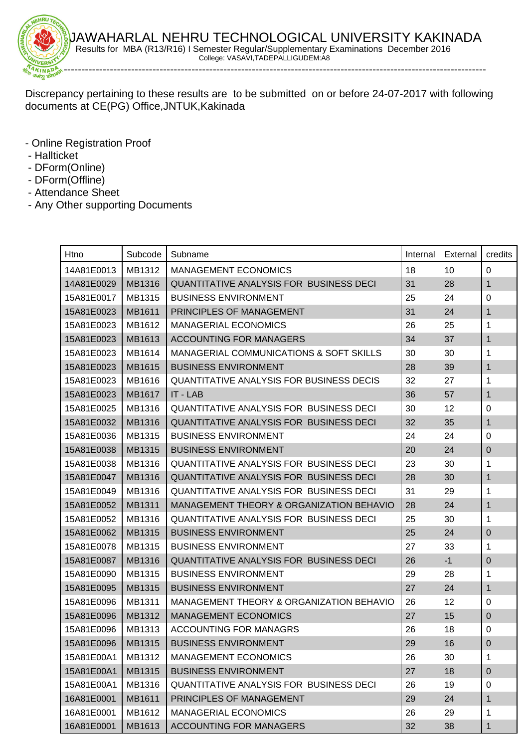

AWAHARLAL NEHRU TECHNOLOGICAL UNIVERSITY KAKINADA Results for MBA (R13/R16) I Semester Regular/Supplementary Examinations December 2016 College: VASAVI,TADEPALLIGUDEM:A8

Discrepancy pertaining to these results are to be submitted on or before 24-07-2017 with following documents at CE(PG) Office,JNTUK,Kakinada

- Online Registration Proof
- Hallticket
- DForm(Online)
- DForm(Offline)
- Attendance Sheet
- Any Other supporting Documents

| Htno       | Subcode | Subname                                            | Internal | External | credits      |
|------------|---------|----------------------------------------------------|----------|----------|--------------|
| 14A81E0013 | MB1312  | <b>MANAGEMENT ECONOMICS</b>                        | 18       | 10       | 0            |
| 14A81E0029 | MB1316  | QUANTITATIVE ANALYSIS FOR BUSINESS DECI            | 31       | 28       | 1            |
| 15A81E0017 | MB1315  | <b>BUSINESS ENVIRONMENT</b>                        | 25       | 24       | $\mathbf 0$  |
| 15A81E0023 | MB1611  | PRINCIPLES OF MANAGEMENT                           | 31       | 24       | 1            |
| 15A81E0023 | MB1612  | <b>MANAGERIAL ECONOMICS</b>                        | 26       | 25       | 1            |
| 15A81E0023 | MB1613  | <b>ACCOUNTING FOR MANAGERS</b>                     | 34       | 37       | 1            |
| 15A81E0023 | MB1614  | <b>MANAGERIAL COMMUNICATIONS &amp; SOFT SKILLS</b> | 30       | 30       | 1            |
| 15A81E0023 | MB1615  | <b>BUSINESS ENVIRONMENT</b>                        | 28       | 39       | 1            |
| 15A81E0023 | MB1616  | <b>QUANTITATIVE ANALYSIS FOR BUSINESS DECIS</b>    | 32       | 27       | 1            |
| 15A81E0023 | MB1617  | IT - LAB                                           | 36       | 57       | $\mathbf{1}$ |
| 15A81E0025 | MB1316  | <b>QUANTITATIVE ANALYSIS FOR BUSINESS DECI</b>     | 30       | 12       | $\pmb{0}$    |
| 15A81E0032 | MB1316  | QUANTITATIVE ANALYSIS FOR BUSINESS DECI            | 32       | 35       | 1            |
| 15A81E0036 | MB1315  | <b>BUSINESS ENVIRONMENT</b>                        | 24       | 24       | $\mathbf 0$  |
| 15A81E0038 | MB1315  | <b>BUSINESS ENVIRONMENT</b>                        | 20       | 24       | $\pmb{0}$    |
| 15A81E0038 | MB1316  | <b>QUANTITATIVE ANALYSIS FOR BUSINESS DECI</b>     | 23       | 30       | 1            |
| 15A81E0047 | MB1316  | QUANTITATIVE ANALYSIS FOR BUSINESS DECI            | 28       | 30       | 1            |
| 15A81E0049 | MB1316  | <b>QUANTITATIVE ANALYSIS FOR BUSINESS DECI</b>     | 31       | 29       | 1            |
| 15A81E0052 | MB1311  | MANAGEMENT THEORY & ORGANIZATION BEHAVIO           | 28       | 24       | 1            |
| 15A81E0052 | MB1316  | <b>QUANTITATIVE ANALYSIS FOR BUSINESS DECI</b>     | 25       | 30       | 1            |
| 15A81E0062 | MB1315  | <b>BUSINESS ENVIRONMENT</b>                        | 25       | 24       | $\mathbf 0$  |
| 15A81E0078 | MB1315  | <b>BUSINESS ENVIRONMENT</b>                        | 27       | 33       | 1            |
| 15A81E0087 | MB1316  | QUANTITATIVE ANALYSIS FOR BUSINESS DECI            | 26       | $-1$     | $\pmb{0}$    |
| 15A81E0090 | MB1315  | <b>BUSINESS ENVIRONMENT</b>                        | 29       | 28       | 1            |
| 15A81E0095 | MB1315  | <b>BUSINESS ENVIRONMENT</b>                        | 27       | 24       | 1            |
| 15A81E0096 | MB1311  | MANAGEMENT THEORY & ORGANIZATION BEHAVIO           | 26       | 12       | 0            |
| 15A81E0096 | MB1312  | <b>MANAGEMENT ECONOMICS</b>                        | 27       | 15       | $\mathbf 0$  |
| 15A81E0096 | MB1313  | <b>ACCOUNTING FOR MANAGRS</b>                      | 26       | 18       | 0            |
| 15A81E0096 | MB1315  | <b>BUSINESS ENVIRONMENT</b>                        | 29       | 16       | $\pmb{0}$    |
| 15A81E00A1 | MB1312  | <b>MANAGEMENT ECONOMICS</b>                        | 26       | 30       | 1            |
| 15A81E00A1 | MB1315  | <b>BUSINESS ENVIRONMENT</b>                        | 27       | 18       | $\mathbf 0$  |
| 15A81E00A1 | MB1316  | <b>QUANTITATIVE ANALYSIS FOR BUSINESS DECI</b>     | 26       | 19       | $\mathbf 0$  |
| 16A81E0001 | MB1611  | PRINCIPLES OF MANAGEMENT                           | 29       | 24       | 1            |
| 16A81E0001 | MB1612  | MANAGERIAL ECONOMICS                               | 26       | 29       | 1            |
| 16A81E0001 | MB1613  | <b>ACCOUNTING FOR MANAGERS</b>                     | 32       | 38       | 1            |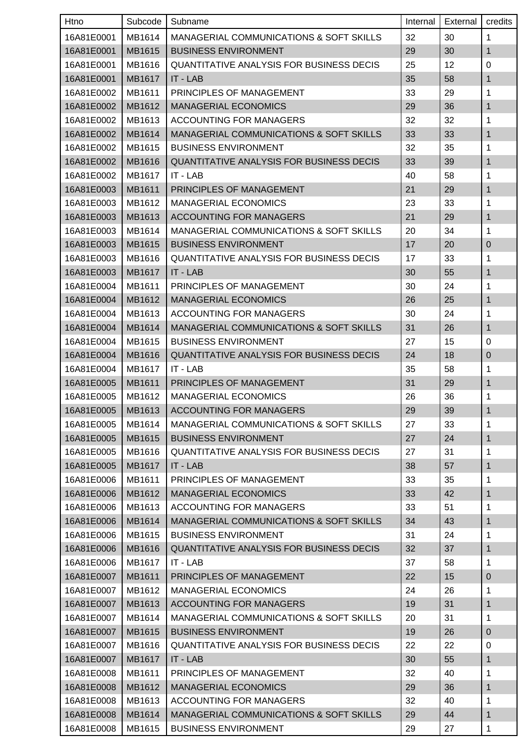| Htno       | Subcode | Subname                                            | Internal | External | credits          |
|------------|---------|----------------------------------------------------|----------|----------|------------------|
| 16A81E0001 | MB1614  | <b>MANAGERIAL COMMUNICATIONS &amp; SOFT SKILLS</b> | 32       | 30       | 1                |
| 16A81E0001 | MB1615  | <b>BUSINESS ENVIRONMENT</b>                        | 29       | 30       | 1                |
| 16A81E0001 | MB1616  | QUANTITATIVE ANALYSIS FOR BUSINESS DECIS           | 25       | 12       | 0                |
| 16A81E0001 | MB1617  | IT - LAB                                           | 35       | 58       | 1                |
| 16A81E0002 | MB1611  | PRINCIPLES OF MANAGEMENT                           | 33       | 29       | 1                |
| 16A81E0002 | MB1612  | <b>MANAGERIAL ECONOMICS</b>                        | 29       | 36       | 1                |
| 16A81E0002 | MB1613  | ACCOUNTING FOR MANAGERS                            | 32       | 32       | 1                |
| 16A81E0002 | MB1614  | <b>MANAGERIAL COMMUNICATIONS &amp; SOFT SKILLS</b> | 33       | 33       | 1                |
| 16A81E0002 | MB1615  | <b>BUSINESS ENVIRONMENT</b>                        | 32       | 35       | 1                |
| 16A81E0002 | MB1616  | <b>QUANTITATIVE ANALYSIS FOR BUSINESS DECIS</b>    | 33       | 39       | 1                |
| 16A81E0002 | MB1617  | IT - LAB                                           | 40       | 58       | 1                |
| 16A81E0003 | MB1611  | PRINCIPLES OF MANAGEMENT                           | 21       | 29       | 1                |
| 16A81E0003 | MB1612  | <b>MANAGERIAL ECONOMICS</b>                        | 23       | 33       | 1                |
| 16A81E0003 | MB1613  | <b>ACCOUNTING FOR MANAGERS</b>                     | 21       | 29       | 1                |
| 16A81E0003 | MB1614  | <b>MANAGERIAL COMMUNICATIONS &amp; SOFT SKILLS</b> | 20       | 34       | 1                |
| 16A81E0003 | MB1615  | <b>BUSINESS ENVIRONMENT</b>                        | 17       | 20       | $\mathbf 0$      |
| 16A81E0003 | MB1616  | QUANTITATIVE ANALYSIS FOR BUSINESS DECIS           | 17       | 33       | 1                |
| 16A81E0003 | MB1617  | IT - LAB                                           | 30       | 55       | 1                |
| 16A81E0004 | MB1611  | PRINCIPLES OF MANAGEMENT                           | 30       | 24       | 1                |
| 16A81E0004 | MB1612  | <b>MANAGERIAL ECONOMICS</b>                        | 26       | 25       | 1                |
| 16A81E0004 | MB1613  | ACCOUNTING FOR MANAGERS                            | 30       | 24       | 1                |
| 16A81E0004 | MB1614  | <b>MANAGERIAL COMMUNICATIONS &amp; SOFT SKILLS</b> | 31       | 26       | 1                |
| 16A81E0004 | MB1615  | <b>BUSINESS ENVIRONMENT</b>                        | 27       | 15       | $\mathbf 0$      |
| 16A81E0004 | MB1616  | <b>QUANTITATIVE ANALYSIS FOR BUSINESS DECIS</b>    | 24       | 18       | $\pmb{0}$        |
| 16A81E0004 | MB1617  | IT - LAB                                           | 35       | 58       | 1                |
| 16A81E0005 | MB1611  | PRINCIPLES OF MANAGEMENT                           | 31       | 29       | 1                |
| 16A81E0005 | MB1612  | <b>MANAGERIAL ECONOMICS</b>                        | 26       | 36       | 1                |
| 16A81E0005 | MB1613  | ACCOUNTING FOR MANAGERS                            | 29       | 39       | 1                |
| 16A81E0005 | MB1614  | <b>MANAGERIAL COMMUNICATIONS &amp; SOFT SKILLS</b> | 27       | 33       | 1                |
| 16A81E0005 | MB1615  | <b>BUSINESS ENVIRONMENT</b>                        | 27       | 24       | 1                |
| 16A81E0005 | MB1616  | <b>QUANTITATIVE ANALYSIS FOR BUSINESS DECIS</b>    | 27       | 31       | 1                |
| 16A81E0005 | MB1617  | IT - LAB                                           | 38       | 57       | 1                |
| 16A81E0006 | MB1611  | PRINCIPLES OF MANAGEMENT                           | 33       | 35       | 1                |
| 16A81E0006 | MB1612  | <b>MANAGERIAL ECONOMICS</b>                        | 33       | 42       | 1                |
| 16A81E0006 | MB1613  | <b>ACCOUNTING FOR MANAGERS</b>                     | 33       | 51       | 1                |
| 16A81E0006 | MB1614  | MANAGERIAL COMMUNICATIONS & SOFT SKILLS            | 34       | 43       | $\mathbf{1}$     |
| 16A81E0006 | MB1615  | <b>BUSINESS ENVIRONMENT</b>                        | 31       | 24       | 1                |
| 16A81E0006 | MB1616  | QUANTITATIVE ANALYSIS FOR BUSINESS DECIS           | 32       | 37       | 1                |
| 16A81E0006 | MB1617  | IT - LAB                                           | 37       | 58       | 1                |
| 16A81E0007 | MB1611  | PRINCIPLES OF MANAGEMENT                           | 22       | 15       | $\pmb{0}$        |
| 16A81E0007 | MB1612  | <b>MANAGERIAL ECONOMICS</b>                        | 24       | 26       | 1                |
| 16A81E0007 | MB1613  | <b>ACCOUNTING FOR MANAGERS</b>                     | 19       | 31       | 1                |
| 16A81E0007 | MB1614  | <b>MANAGERIAL COMMUNICATIONS &amp; SOFT SKILLS</b> | 20       | 31       | 1                |
| 16A81E0007 | MB1615  | <b>BUSINESS ENVIRONMENT</b>                        | 19       | 26       | $\boldsymbol{0}$ |
| 16A81E0007 | MB1616  | <b>QUANTITATIVE ANALYSIS FOR BUSINESS DECIS</b>    | 22       | 22       | $\mathbf 0$      |
| 16A81E0007 | MB1617  | IT - LAB                                           | 30       | 55       | $\mathbf{1}$     |
| 16A81E0008 | MB1611  | PRINCIPLES OF MANAGEMENT                           | 32       | 40       | 1                |
| 16A81E0008 | MB1612  | <b>MANAGERIAL ECONOMICS</b>                        | 29       | 36       | 1                |
| 16A81E0008 | MB1613  | <b>ACCOUNTING FOR MANAGERS</b>                     | 32       | 40       | $\mathbf{1}$     |
| 16A81E0008 | MB1614  | MANAGERIAL COMMUNICATIONS & SOFT SKILLS            | 29       | 44       | 1                |
| 16A81E0008 | MB1615  | <b>BUSINESS ENVIRONMENT</b>                        | 29       | 27       | 1                |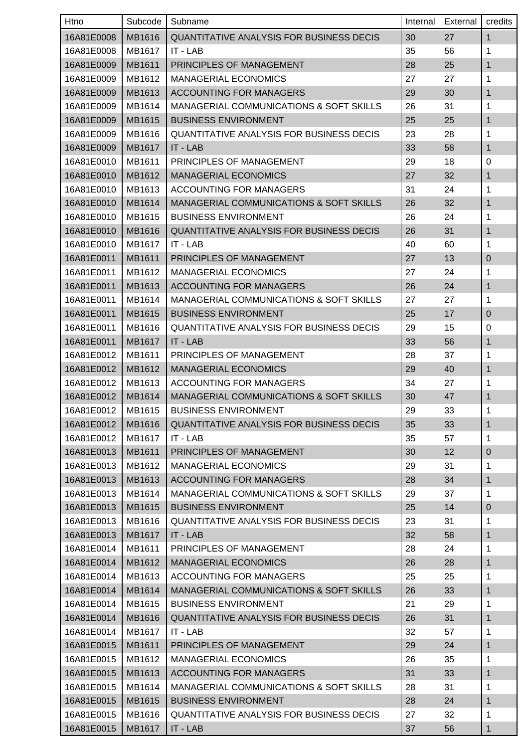| Htno       | Subcode | Subname                                         | Internal | External | credits      |
|------------|---------|-------------------------------------------------|----------|----------|--------------|
| 16A81E0008 | MB1616  | <b>QUANTITATIVE ANALYSIS FOR BUSINESS DECIS</b> | 30       | 27       | $\mathbf{1}$ |
| 16A81E0008 | MB1617  | IT - LAB                                        | 35       | 56       | 1            |
| 16A81E0009 | MB1611  | PRINCIPLES OF MANAGEMENT                        | 28       | 25       | 1            |
| 16A81E0009 | MB1612  | <b>MANAGERIAL ECONOMICS</b>                     | 27       | 27       | 1            |
| 16A81E0009 | MB1613  | <b>ACCOUNTING FOR MANAGERS</b>                  | 29       | 30       | 1            |
| 16A81E0009 | MB1614  | MANAGERIAL COMMUNICATIONS & SOFT SKILLS         | 26       | 31       | 1            |
| 16A81E0009 | MB1615  | <b>BUSINESS ENVIRONMENT</b>                     | 25       | 25       | 1            |
| 16A81E0009 | MB1616  | <b>QUANTITATIVE ANALYSIS FOR BUSINESS DECIS</b> | 23       | 28       | 1            |
| 16A81E0009 | MB1617  | IT - LAB                                        | 33       | 58       | 1            |
| 16A81E0010 | MB1611  | PRINCIPLES OF MANAGEMENT                        | 29       | 18       | $\pmb{0}$    |
| 16A81E0010 | MB1612  | <b>MANAGERIAL ECONOMICS</b>                     | 27       | 32       | 1            |
| 16A81E0010 | MB1613  | <b>ACCOUNTING FOR MANAGERS</b>                  | 31       | 24       | 1            |
| 16A81E0010 | MB1614  | MANAGERIAL COMMUNICATIONS & SOFT SKILLS         | 26       | 32       | 1            |
| 16A81E0010 | MB1615  | <b>BUSINESS ENVIRONMENT</b>                     | 26       | 24       | 1            |
| 16A81E0010 | MB1616  | <b>QUANTITATIVE ANALYSIS FOR BUSINESS DECIS</b> | 26       | 31       | 1            |
| 16A81E0010 | MB1617  | IT - LAB                                        | 40       | 60       | 1            |
| 16A81E0011 | MB1611  | PRINCIPLES OF MANAGEMENT                        | 27       | 13       | $\mathbf 0$  |
| 16A81E0011 | MB1612  | <b>MANAGERIAL ECONOMICS</b>                     | 27       | 24       | 1            |
| 16A81E0011 | MB1613  | <b>ACCOUNTING FOR MANAGERS</b>                  | 26       | 24       | 1            |
| 16A81E0011 | MB1614  | MANAGERIAL COMMUNICATIONS & SOFT SKILLS         | 27       | 27       | 1            |
| 16A81E0011 | MB1615  | <b>BUSINESS ENVIRONMENT</b>                     | 25       | 17       | $\mathbf 0$  |
| 16A81E0011 | MB1616  | <b>QUANTITATIVE ANALYSIS FOR BUSINESS DECIS</b> | 29       | 15       | 0            |
| 16A81E0011 | MB1617  | IT - LAB                                        | 33       | 56       | 1            |
| 16A81E0012 | MB1611  | PRINCIPLES OF MANAGEMENT                        | 28       | 37       | 1            |
| 16A81E0012 | MB1612  | <b>MANAGERIAL ECONOMICS</b>                     | 29       | 40       | 1            |
| 16A81E0012 | MB1613  | <b>ACCOUNTING FOR MANAGERS</b>                  | 34       | 27       | 1            |
| 16A81E0012 | MB1614  | MANAGERIAL COMMUNICATIONS & SOFT SKILLS         | 30       | 47       | 1            |
| 16A81E0012 | MB1615  | <b>BUSINESS ENVIRONMENT</b>                     | 29       | 33       | 1            |
| 16A81E0012 | MB1616  | QUANTITATIVE ANALYSIS FOR BUSINESS DECIS        | 35       | 33       | $\mathbf{1}$ |
| 16A81E0012 | MB1617  | IT - LAB                                        | 35       | 57       | 1            |
| 16A81E0013 | MB1611  | PRINCIPLES OF MANAGEMENT                        | 30       | 12       | $\pmb{0}$    |
| 16A81E0013 | MB1612  | <b>MANAGERIAL ECONOMICS</b>                     | 29       | 31       | 1            |
| 16A81E0013 | MB1613  | <b>ACCOUNTING FOR MANAGERS</b>                  | 28       | 34       | 1            |
| 16A81E0013 | MB1614  | MANAGERIAL COMMUNICATIONS & SOFT SKILLS         | 29       | 37       | 1            |
| 16A81E0013 | MB1615  | <b>BUSINESS ENVIRONMENT</b>                     | 25       | 14       | $\pmb{0}$    |
| 16A81E0013 | MB1616  | <b>QUANTITATIVE ANALYSIS FOR BUSINESS DECIS</b> | 23       | 31       | 1            |
| 16A81E0013 | MB1617  | IT - LAB                                        | 32       | 58       | 1            |
| 16A81E0014 | MB1611  | PRINCIPLES OF MANAGEMENT                        | 28       | 24       | 1            |
| 16A81E0014 | MB1612  | <b>MANAGERIAL ECONOMICS</b>                     | 26       | 28       | 1            |
| 16A81E0014 | MB1613  | <b>ACCOUNTING FOR MANAGERS</b>                  | 25       | 25       | 1            |
| 16A81E0014 | MB1614  | MANAGERIAL COMMUNICATIONS & SOFT SKILLS         | 26       | 33       | 1            |
| 16A81E0014 | MB1615  | <b>BUSINESS ENVIRONMENT</b>                     | 21       | 29       | 1            |
| 16A81E0014 | MB1616  | <b>QUANTITATIVE ANALYSIS FOR BUSINESS DECIS</b> | 26       | 31       | 1            |
| 16A81E0014 | MB1617  | IT - LAB                                        | 32       | 57       | 1            |
| 16A81E0015 | MB1611  | PRINCIPLES OF MANAGEMENT                        | 29       | 24       | 1            |
| 16A81E0015 | MB1612  | <b>MANAGERIAL ECONOMICS</b>                     | 26       | 35       | 1            |
| 16A81E0015 | MB1613  | <b>ACCOUNTING FOR MANAGERS</b>                  | 31       | 33       | 1            |
| 16A81E0015 | MB1614  | MANAGERIAL COMMUNICATIONS & SOFT SKILLS         | 28       | 31       | 1            |
| 16A81E0015 | MB1615  | <b>BUSINESS ENVIRONMENT</b>                     | 28       | 24       | 1            |
| 16A81E0015 | MB1616  | <b>QUANTITATIVE ANALYSIS FOR BUSINESS DECIS</b> | 27       | 32       | 1            |
| 16A81E0015 | MB1617  | IT - LAB                                        | 37       | 56       | 1            |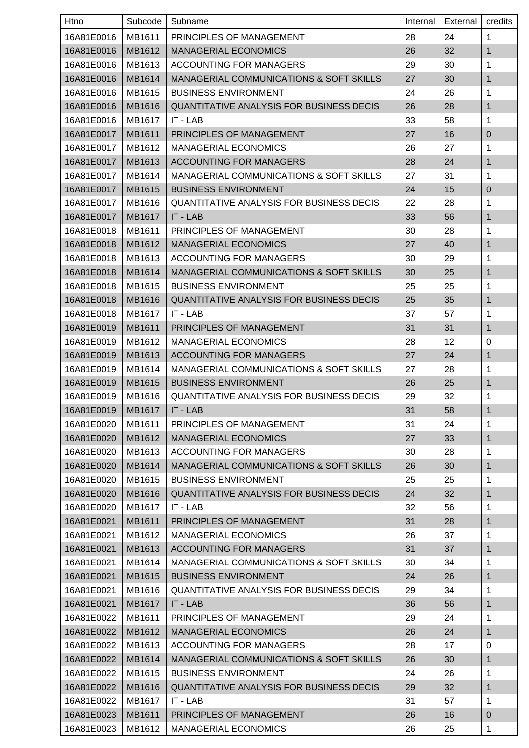| Htno       | Subcode       | Subname                                            | Internal | External | credits          |
|------------|---------------|----------------------------------------------------|----------|----------|------------------|
| 16A81E0016 | MB1611        | PRINCIPLES OF MANAGEMENT                           | 28       | 24       | 1                |
| 16A81E0016 | MB1612        | <b>MANAGERIAL ECONOMICS</b>                        | 26       | 32       | 1                |
| 16A81E0016 | MB1613        | <b>ACCOUNTING FOR MANAGERS</b>                     | 29       | 30       | 1                |
| 16A81E0016 | MB1614        | <b>MANAGERIAL COMMUNICATIONS &amp; SOFT SKILLS</b> | 27       | 30       | 1                |
| 16A81E0016 | MB1615        | <b>BUSINESS ENVIRONMENT</b>                        | 24       | 26       | 1                |
| 16A81E0016 | MB1616        | QUANTITATIVE ANALYSIS FOR BUSINESS DECIS           | 26       | 28       | 1                |
| 16A81E0016 | MB1617        | IT - LAB                                           | 33       | 58       | 1                |
| 16A81E0017 | MB1611        | PRINCIPLES OF MANAGEMENT                           | 27       | 16       | $\pmb{0}$        |
| 16A81E0017 | MB1612        | <b>MANAGERIAL ECONOMICS</b>                        | 26       | 27       | 1                |
| 16A81E0017 | MB1613        | <b>ACCOUNTING FOR MANAGERS</b>                     | 28       | 24       | 1                |
| 16A81E0017 | MB1614        | MANAGERIAL COMMUNICATIONS & SOFT SKILLS            | 27       | 31       | 1                |
| 16A81E0017 | MB1615        | <b>BUSINESS ENVIRONMENT</b>                        | 24       | 15       | 0                |
| 16A81E0017 | MB1616        | <b>QUANTITATIVE ANALYSIS FOR BUSINESS DECIS</b>    | 22       | 28       | 1                |
| 16A81E0017 | MB1617        | IT - LAB                                           | 33       | 56       | 1                |
| 16A81E0018 | MB1611        | PRINCIPLES OF MANAGEMENT                           | 30       | 28       | 1                |
| 16A81E0018 | MB1612        | <b>MANAGERIAL ECONOMICS</b>                        | 27       | 40       | 1                |
| 16A81E0018 | MB1613        | ACCOUNTING FOR MANAGERS                            | 30       | 29       | 1                |
| 16A81E0018 | MB1614        | <b>MANAGERIAL COMMUNICATIONS &amp; SOFT SKILLS</b> | 30       | 25       | 1                |
| 16A81E0018 | MB1615        | <b>BUSINESS ENVIRONMENT</b>                        | 25       | 25       | 1                |
| 16A81E0018 | MB1616        | QUANTITATIVE ANALYSIS FOR BUSINESS DECIS           | 25       | 35       | 1                |
| 16A81E0018 | MB1617        | IT - LAB                                           | 37       | 57       | 1                |
| 16A81E0019 | MB1611        | PRINCIPLES OF MANAGEMENT                           | 31       | 31       | 1                |
| 16A81E0019 | MB1612        | <b>MANAGERIAL ECONOMICS</b>                        | 28       | 12       | 0                |
| 16A81E0019 | MB1613        | <b>ACCOUNTING FOR MANAGERS</b>                     | 27       | 24       | 1                |
| 16A81E0019 | MB1614        | MANAGERIAL COMMUNICATIONS & SOFT SKILLS            | 27       | 28       | 1                |
| 16A81E0019 | MB1615        | <b>BUSINESS ENVIRONMENT</b>                        | 26       | 25       | 1                |
| 16A81E0019 | MB1616        | <b>QUANTITATIVE ANALYSIS FOR BUSINESS DECIS</b>    | 29       | 32       | 1                |
| 16A81E0019 | <b>MB1617</b> | $\vert$ IT - LAB                                   | 31       | 58       | 1                |
| 16A81E0020 | MB1611        | PRINCIPLES OF MANAGEMENT                           | 31       | 24       | 1                |
| 16A81E0020 | MB1612        | <b>MANAGERIAL ECONOMICS</b>                        | 27       | 33       | $\mathbf{1}$     |
| 16A81E0020 | MB1613        | <b>ACCOUNTING FOR MANAGERS</b>                     | 30       | 28       | 1                |
| 16A81E0020 | MB1614        | MANAGERIAL COMMUNICATIONS & SOFT SKILLS            | 26       | 30       | 1                |
| 16A81E0020 | MB1615        | <b>BUSINESS ENVIRONMENT</b>                        | 25       | 25       | 1                |
| 16A81E0020 | MB1616        | QUANTITATIVE ANALYSIS FOR BUSINESS DECIS           | 24       | 32       | 1                |
| 16A81E0020 | MB1617        | IT - LAB                                           | 32       | 56       | 1                |
| 16A81E0021 | MB1611        | PRINCIPLES OF MANAGEMENT                           | 31       | 28       | $\mathbf{1}$     |
| 16A81E0021 | MB1612        | <b>MANAGERIAL ECONOMICS</b>                        | 26       | 37       | 1                |
| 16A81E0021 | MB1613        | <b>ACCOUNTING FOR MANAGERS</b>                     | 31       | 37       | 1                |
| 16A81E0021 | MB1614        | MANAGERIAL COMMUNICATIONS & SOFT SKILLS            | 30       | 34       | $\mathbf{1}$     |
| 16A81E0021 | MB1615        | <b>BUSINESS ENVIRONMENT</b>                        | 24       | 26       | 1                |
| 16A81E0021 | MB1616        | <b>QUANTITATIVE ANALYSIS FOR BUSINESS DECIS</b>    | 29       | 34       | 1                |
| 16A81E0021 | MB1617        | IT - LAB                                           | 36       | 56       | 1                |
| 16A81E0022 | MB1611        | PRINCIPLES OF MANAGEMENT                           | 29       | 24       | 1                |
| 16A81E0022 | MB1612        | <b>MANAGERIAL ECONOMICS</b>                        | 26       | 24       | 1                |
| 16A81E0022 | MB1613        | ACCOUNTING FOR MANAGERS                            | 28       | 17       | $\pmb{0}$        |
| 16A81E0022 | MB1614        | MANAGERIAL COMMUNICATIONS & SOFT SKILLS            | 26       | 30       | $\mathbf{1}$     |
| 16A81E0022 | MB1615        | <b>BUSINESS ENVIRONMENT</b>                        | 24       | 26       | 1                |
| 16A81E0022 | MB1616        | QUANTITATIVE ANALYSIS FOR BUSINESS DECIS           | 29       | 32       | 1                |
| 16A81E0022 | MB1617        | IT - LAB                                           | 31       | 57       | $\mathbf{1}$     |
| 16A81E0023 | MB1611        | PRINCIPLES OF MANAGEMENT                           | 26       | 16       | $\boldsymbol{0}$ |
| 16A81E0023 | MB1612        | <b>MANAGERIAL ECONOMICS</b>                        | 26       | 25       | 1                |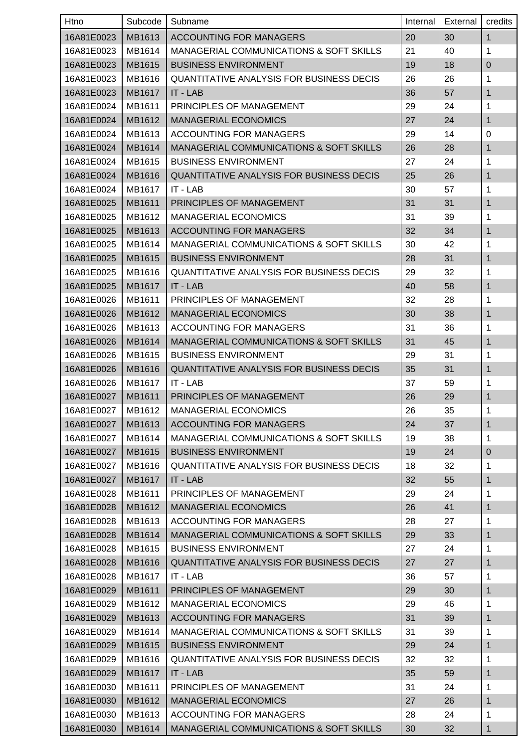| Htno       | Subcode       | Subname                                            | Internal | External | credits      |
|------------|---------------|----------------------------------------------------|----------|----------|--------------|
| 16A81E0023 | MB1613        | <b>ACCOUNTING FOR MANAGERS</b>                     | 20       | 30       | $\mathbf{1}$ |
| 16A81E0023 | MB1614        | MANAGERIAL COMMUNICATIONS & SOFT SKILLS            | 21       | 40       | 1            |
| 16A81E0023 | MB1615        | <b>BUSINESS ENVIRONMENT</b>                        | 19       | 18       | $\pmb{0}$    |
| 16A81E0023 | MB1616        | <b>QUANTITATIVE ANALYSIS FOR BUSINESS DECIS</b>    | 26       | 26       | 1            |
| 16A81E0023 | MB1617        | IT - LAB                                           | 36       | 57       | 1            |
| 16A81E0024 | MB1611        | PRINCIPLES OF MANAGEMENT                           | 29       | 24       | 1            |
| 16A81E0024 | MB1612        | <b>MANAGERIAL ECONOMICS</b>                        | 27       | 24       | 1            |
| 16A81E0024 | MB1613        | ACCOUNTING FOR MANAGERS                            | 29       | 14       | 0            |
| 16A81E0024 | MB1614        | <b>MANAGERIAL COMMUNICATIONS &amp; SOFT SKILLS</b> | 26       | 28       | 1            |
| 16A81E0024 | MB1615        | <b>BUSINESS ENVIRONMENT</b>                        | 27       | 24       | 1            |
| 16A81E0024 | MB1616        | <b>QUANTITATIVE ANALYSIS FOR BUSINESS DECIS</b>    | 25       | 26       | 1            |
| 16A81E0024 | MB1617        | IT - LAB                                           | 30       | 57       | 1            |
| 16A81E0025 | MB1611        | <b>PRINCIPLES OF MANAGEMENT</b>                    | 31       | 31       | 1            |
| 16A81E0025 | MB1612        | <b>MANAGERIAL ECONOMICS</b>                        | 31       | 39       | 1            |
| 16A81E0025 | MB1613        | <b>ACCOUNTING FOR MANAGERS</b>                     | 32       | 34       | 1            |
| 16A81E0025 | MB1614        | MANAGERIAL COMMUNICATIONS & SOFT SKILLS            | 30       | 42       | 1            |
| 16A81E0025 | MB1615        | <b>BUSINESS ENVIRONMENT</b>                        | 28       | 31       | 1            |
| 16A81E0025 | MB1616        | <b>QUANTITATIVE ANALYSIS FOR BUSINESS DECIS</b>    | 29       | 32       | 1            |
| 16A81E0025 | <b>MB1617</b> | IT - LAB                                           | 40       | 58       | 1            |
| 16A81E0026 | MB1611        | PRINCIPLES OF MANAGEMENT                           | 32       | 28       | 1            |
| 16A81E0026 | MB1612        | <b>MANAGERIAL ECONOMICS</b>                        | 30       | 38       | 1            |
| 16A81E0026 | MB1613        | ACCOUNTING FOR MANAGERS                            | 31       | 36       | 1            |
| 16A81E0026 | MB1614        | <b>MANAGERIAL COMMUNICATIONS &amp; SOFT SKILLS</b> | 31       | 45       | 1            |
| 16A81E0026 | MB1615        | <b>BUSINESS ENVIRONMENT</b>                        | 29       | 31       | 1            |
| 16A81E0026 | MB1616        | <b>QUANTITATIVE ANALYSIS FOR BUSINESS DECIS</b>    | 35       | 31       | 1            |
| 16A81E0026 | MB1617        | IT - LAB                                           | 37       | 59       | 1            |
| 16A81E0027 | MB1611        | <b>PRINCIPLES OF MANAGEMENT</b>                    | 26       | 29       | 1            |
| 16A81E0027 | MB1612        | <b>MANAGERIAL ECONOMICS</b>                        | 26       | 35       | 1            |
| 16A81E0027 | MB1613        | <b>ACCOUNTING FOR MANAGERS</b>                     | 24       | 37       | $\mathbf{1}$ |
| 16A81E0027 | MB1614        | MANAGERIAL COMMUNICATIONS & SOFT SKILLS            | 19       | 38       | 1            |
| 16A81E0027 | MB1615        | <b>BUSINESS ENVIRONMENT</b>                        | 19       | 24       | $\pmb{0}$    |
| 16A81E0027 | MB1616        | QUANTITATIVE ANALYSIS FOR BUSINESS DECIS           | 18       | 32       | 1            |
| 16A81E0027 | MB1617        | IT - LAB                                           | 32       | 55       | 1            |
| 16A81E0028 | MB1611        | PRINCIPLES OF MANAGEMENT                           | 29       | 24       | 1            |
| 16A81E0028 | MB1612        | <b>MANAGERIAL ECONOMICS</b>                        | 26       | 41       | 1            |
| 16A81E0028 | MB1613        | ACCOUNTING FOR MANAGERS                            | 28       | 27       | 1            |
| 16A81E0028 | MB1614        | MANAGERIAL COMMUNICATIONS & SOFT SKILLS            | 29       | 33       | 1            |
| 16A81E0028 | MB1615        | <b>BUSINESS ENVIRONMENT</b>                        | 27       | 24       | 1            |
| 16A81E0028 | MB1616        | <b>QUANTITATIVE ANALYSIS FOR BUSINESS DECIS</b>    | 27       | 27       | 1            |
| 16A81E0028 | MB1617        | IT - LAB                                           | 36       | 57       | 1            |
| 16A81E0029 | MB1611        | PRINCIPLES OF MANAGEMENT                           | 29       | 30       | 1            |
| 16A81E0029 | MB1612        | <b>MANAGERIAL ECONOMICS</b>                        | 29       | 46       | 1            |
| 16A81E0029 | MB1613        | <b>ACCOUNTING FOR MANAGERS</b>                     | 31       | 39       | 1            |
| 16A81E0029 | MB1614        | MANAGERIAL COMMUNICATIONS & SOFT SKILLS            | 31       | 39       | 1            |
| 16A81E0029 | MB1615        | <b>BUSINESS ENVIRONMENT</b>                        | 29       | 24       | 1            |
| 16A81E0029 | MB1616        | <b>QUANTITATIVE ANALYSIS FOR BUSINESS DECIS</b>    | 32       | 32       | 1            |
| 16A81E0029 | MB1617        | IT - LAB                                           | 35       | 59       | 1            |
| 16A81E0030 | MB1611        | PRINCIPLES OF MANAGEMENT                           | 31       | 24       | 1            |
| 16A81E0030 | MB1612        | <b>MANAGERIAL ECONOMICS</b>                        | 27       | 26       | 1            |
| 16A81E0030 | MB1613        | <b>ACCOUNTING FOR MANAGERS</b>                     | 28       | 24       | 1            |
| 16A81E0030 | MB1614        | <b>MANAGERIAL COMMUNICATIONS &amp; SOFT SKILLS</b> | 30       | 32       | 1            |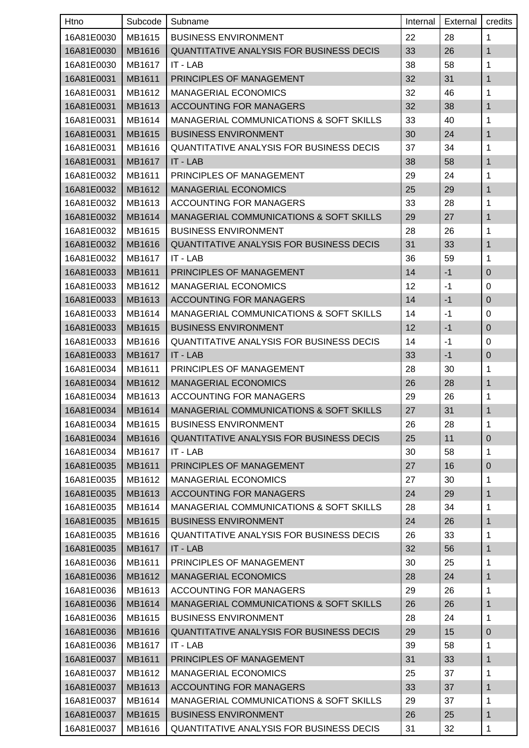| Htno       | Subcode | Subname                                            | Internal | External | credits          |
|------------|---------|----------------------------------------------------|----------|----------|------------------|
| 16A81E0030 | MB1615  | <b>BUSINESS ENVIRONMENT</b>                        | 22       | 28       | 1                |
| 16A81E0030 | MB1616  | <b>QUANTITATIVE ANALYSIS FOR BUSINESS DECIS</b>    | 33       | 26       | 1                |
| 16A81E0030 | MB1617  | IT - LAB                                           | 38       | 58       | 1                |
| 16A81E0031 | MB1611  | PRINCIPLES OF MANAGEMENT                           | 32       | 31       | 1                |
| 16A81E0031 | MB1612  | <b>MANAGERIAL ECONOMICS</b>                        | 32       | 46       | 1                |
| 16A81E0031 | MB1613  | <b>ACCOUNTING FOR MANAGERS</b>                     | 32       | 38       | 1                |
| 16A81E0031 | MB1614  | <b>MANAGERIAL COMMUNICATIONS &amp; SOFT SKILLS</b> | 33       | 40       | 1                |
| 16A81E0031 | MB1615  | <b>BUSINESS ENVIRONMENT</b>                        | 30       | 24       | $\mathbf{1}$     |
| 16A81E0031 | MB1616  | <b>QUANTITATIVE ANALYSIS FOR BUSINESS DECIS</b>    | 37       | 34       | 1                |
| 16A81E0031 | MB1617  | IT - LAB                                           | 38       | 58       | 1                |
| 16A81E0032 | MB1611  | PRINCIPLES OF MANAGEMENT                           | 29       | 24       | 1                |
| 16A81E0032 | MB1612  | <b>MANAGERIAL ECONOMICS</b>                        | 25       | 29       | 1                |
| 16A81E0032 | MB1613  | <b>ACCOUNTING FOR MANAGERS</b>                     | 33       | 28       | 1                |
| 16A81E0032 | MB1614  | <b>MANAGERIAL COMMUNICATIONS &amp; SOFT SKILLS</b> | 29       | 27       | 1                |
| 16A81E0032 | MB1615  | <b>BUSINESS ENVIRONMENT</b>                        | 28       | 26       | 1                |
| 16A81E0032 | MB1616  | <b>QUANTITATIVE ANALYSIS FOR BUSINESS DECIS</b>    | 31       | 33       | 1                |
| 16A81E0032 | MB1617  | IT - LAB                                           | 36       | 59       | 1                |
| 16A81E0033 | MB1611  | PRINCIPLES OF MANAGEMENT                           | 14       | $-1$     | $\pmb{0}$        |
| 16A81E0033 | MB1612  | <b>MANAGERIAL ECONOMICS</b>                        | 12       | $-1$     | 0                |
| 16A81E0033 | MB1613  | <b>ACCOUNTING FOR MANAGERS</b>                     | 14       | $-1$     | $\pmb{0}$        |
| 16A81E0033 | MB1614  | <b>MANAGERIAL COMMUNICATIONS &amp; SOFT SKILLS</b> | 14       | $-1$     | 0                |
| 16A81E0033 | MB1615  | <b>BUSINESS ENVIRONMENT</b>                        | 12       | $-1$     | $\mathbf 0$      |
| 16A81E0033 | MB1616  | <b>QUANTITATIVE ANALYSIS FOR BUSINESS DECIS</b>    | 14       | $-1$     | 0                |
| 16A81E0033 | MB1617  | IT - LAB                                           | 33       | $-1$     | $\pmb{0}$        |
| 16A81E0034 | MB1611  | PRINCIPLES OF MANAGEMENT                           | 28       | 30       | 1                |
| 16A81E0034 | MB1612  | <b>MANAGERIAL ECONOMICS</b>                        | 26       | 28       | 1                |
| 16A81E0034 | MB1613  | <b>ACCOUNTING FOR MANAGERS</b>                     | 29       | 26       | 1                |
| 16A81E0034 | MB1614  | MANAGERIAL COMMUNICATIONS & SOFT SKILLS            | 27       | 31       | 1                |
| 16A81E0034 | MB1615  | <b>BUSINESS ENVIRONMENT</b>                        | 26       | 28       | 1                |
| 16A81E0034 | MB1616  | QUANTITATIVE ANALYSIS FOR BUSINESS DECIS           | 25       | 11       | $\pmb{0}$        |
| 16A81E0034 | MB1617  | IT - LAB                                           | 30       | 58       | 1                |
| 16A81E0035 | MB1611  | PRINCIPLES OF MANAGEMENT                           | 27       | 16       | $\mathbf 0$      |
| 16A81E0035 | MB1612  | <b>MANAGERIAL ECONOMICS</b>                        | 27       | 30       | 1                |
| 16A81E0035 | MB1613  | <b>ACCOUNTING FOR MANAGERS</b>                     | 24       | 29       | 1                |
| 16A81E0035 | MB1614  | MANAGERIAL COMMUNICATIONS & SOFT SKILLS            | 28       | 34       | 1                |
| 16A81E0035 | MB1615  | <b>BUSINESS ENVIRONMENT</b>                        | 24       | 26       | 1                |
| 16A81E0035 | MB1616  | <b>QUANTITATIVE ANALYSIS FOR BUSINESS DECIS</b>    | 26       | 33       | 1                |
| 16A81E0035 | MB1617  | IT - LAB                                           | 32       | 56       | 1                |
| 16A81E0036 | MB1611  | PRINCIPLES OF MANAGEMENT                           | 30       | 25       | 1                |
| 16A81E0036 | MB1612  | <b>MANAGERIAL ECONOMICS</b>                        | 28       | 24       | 1                |
| 16A81E0036 | MB1613  | ACCOUNTING FOR MANAGERS                            | 29       | 26       | 1                |
| 16A81E0036 | MB1614  | MANAGERIAL COMMUNICATIONS & SOFT SKILLS            | 26       | 26       | 1                |
| 16A81E0036 | MB1615  | <b>BUSINESS ENVIRONMENT</b>                        | 28       | 24       | 1                |
| 16A81E0036 | MB1616  | QUANTITATIVE ANALYSIS FOR BUSINESS DECIS           | 29       | 15       | $\boldsymbol{0}$ |
| 16A81E0036 | MB1617  | IT - LAB                                           | 39       | 58       | 1                |
| 16A81E0037 | MB1611  | PRINCIPLES OF MANAGEMENT                           | 31       | 33       | 1                |
| 16A81E0037 | MB1612  | <b>MANAGERIAL ECONOMICS</b>                        | 25       | 37       | 1                |
| 16A81E0037 | MB1613  | <b>ACCOUNTING FOR MANAGERS</b>                     | 33       | 37       | 1                |
| 16A81E0037 | MB1614  | <b>MANAGERIAL COMMUNICATIONS &amp; SOFT SKILLS</b> | 29       | 37       | 1                |
| 16A81E0037 | MB1615  | <b>BUSINESS ENVIRONMENT</b>                        | 26       | 25       | 1                |
| 16A81E0037 | MB1616  | QUANTITATIVE ANALYSIS FOR BUSINESS DECIS           | 31       | 32       | 1                |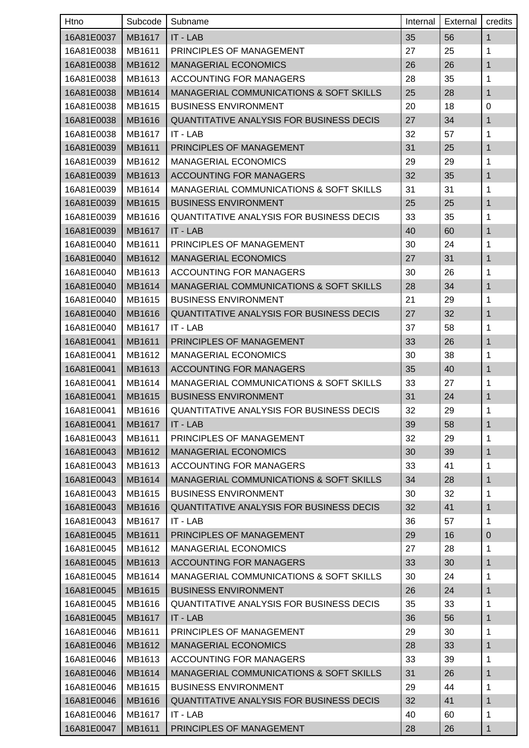| Htno       | Subcode       | Subname                                            | Internal | External | credits      |
|------------|---------------|----------------------------------------------------|----------|----------|--------------|
| 16A81E0037 | MB1617        | IT - LAB                                           | 35       | 56       | $\mathbf{1}$ |
| 16A81E0038 | MB1611        | PRINCIPLES OF MANAGEMENT                           | 27       | 25       | 1            |
| 16A81E0038 | MB1612        | <b>MANAGERIAL ECONOMICS</b>                        | 26       | 26       | $\mathbf{1}$ |
| 16A81E0038 | MB1613        | ACCOUNTING FOR MANAGERS                            | 28       | 35       | 1            |
| 16A81E0038 | MB1614        | MANAGERIAL COMMUNICATIONS & SOFT SKILLS            | 25       | 28       | 1            |
| 16A81E0038 | MB1615        | <b>BUSINESS ENVIRONMENT</b>                        | 20       | 18       | 0            |
| 16A81E0038 | MB1616        | <b>QUANTITATIVE ANALYSIS FOR BUSINESS DECIS</b>    | 27       | 34       | 1            |
| 16A81E0038 | MB1617        | IT - LAB                                           | 32       | 57       | 1            |
| 16A81E0039 | MB1611        | PRINCIPLES OF MANAGEMENT                           | 31       | 25       | 1            |
| 16A81E0039 | MB1612        | <b>MANAGERIAL ECONOMICS</b>                        | 29       | 29       | 1            |
| 16A81E0039 | MB1613        | <b>ACCOUNTING FOR MANAGERS</b>                     | 32       | 35       | 1            |
| 16A81E0039 | MB1614        | MANAGERIAL COMMUNICATIONS & SOFT SKILLS            | 31       | 31       | 1            |
| 16A81E0039 | MB1615        | <b>BUSINESS ENVIRONMENT</b>                        | 25       | 25       | $\mathbf{1}$ |
| 16A81E0039 | MB1616        | <b>QUANTITATIVE ANALYSIS FOR BUSINESS DECIS</b>    | 33       | 35       | 1            |
| 16A81E0039 | MB1617        | IT - LAB                                           | 40       | 60       | 1            |
| 16A81E0040 | MB1611        | PRINCIPLES OF MANAGEMENT                           | 30       | 24       | 1            |
| 16A81E0040 | MB1612        | <b>MANAGERIAL ECONOMICS</b>                        | 27       | 31       | $\mathbf{1}$ |
| 16A81E0040 | MB1613        | ACCOUNTING FOR MANAGERS                            | 30       | 26       | 1            |
| 16A81E0040 | MB1614        | <b>MANAGERIAL COMMUNICATIONS &amp; SOFT SKILLS</b> | 28       | 34       | 1            |
| 16A81E0040 | MB1615        | <b>BUSINESS ENVIRONMENT</b>                        | 21       | 29       | 1            |
| 16A81E0040 | MB1616        | QUANTITATIVE ANALYSIS FOR BUSINESS DECIS           | 27       | 32       | 1            |
| 16A81E0040 | MB1617        | IT - LAB                                           | 37       | 58       | 1            |
| 16A81E0041 | MB1611        | PRINCIPLES OF MANAGEMENT                           | 33       | 26       | 1            |
| 16A81E0041 | MB1612        | <b>MANAGERIAL ECONOMICS</b>                        | 30       | 38       | 1            |
| 16A81E0041 | MB1613        | <b>ACCOUNTING FOR MANAGERS</b>                     | 35       | 40       | $\mathbf{1}$ |
| 16A81E0041 | MB1614        | MANAGERIAL COMMUNICATIONS & SOFT SKILLS            | 33       | 27       | 1            |
| 16A81E0041 | MB1615        | <b>BUSINESS ENVIRONMENT</b>                        | 31       | 24       | 1            |
| 16A81E0041 | MB1616        | QUANTITATIVE ANALYSIS FOR BUSINESS DECIS           | 32       | 29       | 1            |
| 16A81E0041 | <b>MB1617</b> | IT - LAB                                           | 39       | 58       | $\mathbf{1}$ |
| 16A81E0043 | MB1611        | PRINCIPLES OF MANAGEMENT                           | 32       | 29       | 1            |
| 16A81E0043 | MB1612        | <b>MANAGERIAL ECONOMICS</b>                        | 30       | 39       | 1            |
| 16A81E0043 | MB1613        | ACCOUNTING FOR MANAGERS                            | 33       | 41       | 1            |
| 16A81E0043 | MB1614        | MANAGERIAL COMMUNICATIONS & SOFT SKILLS            | 34       | 28       | 1            |
| 16A81E0043 | MB1615        | <b>BUSINESS ENVIRONMENT</b>                        | 30       | 32       | 1            |
| 16A81E0043 | MB1616        | QUANTITATIVE ANALYSIS FOR BUSINESS DECIS           | 32       | 41       | $\mathbf{1}$ |
| 16A81E0043 | MB1617        | IT - LAB                                           | 36       | 57       | 1            |
| 16A81E0045 | MB1611        | PRINCIPLES OF MANAGEMENT                           | 29       | 16       | $\mathbf 0$  |
| 16A81E0045 | MB1612        | <b>MANAGERIAL ECONOMICS</b>                        | 27       | 28       | 1            |
| 16A81E0045 | MB1613        | <b>ACCOUNTING FOR MANAGERS</b>                     | 33       | 30       | $\mathbf{1}$ |
| 16A81E0045 | MB1614        | MANAGERIAL COMMUNICATIONS & SOFT SKILLS            | 30       | 24       | 1            |
| 16A81E0045 | MB1615        | <b>BUSINESS ENVIRONMENT</b>                        | 26       | 24       | 1            |
| 16A81E0045 | MB1616        | <b>QUANTITATIVE ANALYSIS FOR BUSINESS DECIS</b>    | 35       | 33       | 1            |
| 16A81E0045 | MB1617        | IT - LAB                                           | 36       | 56       | 1            |
| 16A81E0046 | MB1611        | PRINCIPLES OF MANAGEMENT                           | 29       | 30       | 1            |
| 16A81E0046 | MB1612        | <b>MANAGERIAL ECONOMICS</b>                        | 28       | 33       | $\mathbf{1}$ |
| 16A81E0046 | MB1613        | ACCOUNTING FOR MANAGERS                            | 33       | 39       | 1            |
| 16A81E0046 | MB1614        | MANAGERIAL COMMUNICATIONS & SOFT SKILLS            | 31       | 26       | $\mathbf{1}$ |
| 16A81E0046 | MB1615        | <b>BUSINESS ENVIRONMENT</b>                        | 29       | 44       | 1            |
| 16A81E0046 | MB1616        | QUANTITATIVE ANALYSIS FOR BUSINESS DECIS           | 32       | 41       | $\mathbf{1}$ |
| 16A81E0046 | MB1617        | IT - LAB                                           | 40       | 60       | 1            |
| 16A81E0047 | MB1611        | PRINCIPLES OF MANAGEMENT                           | 28       | 26       | 1            |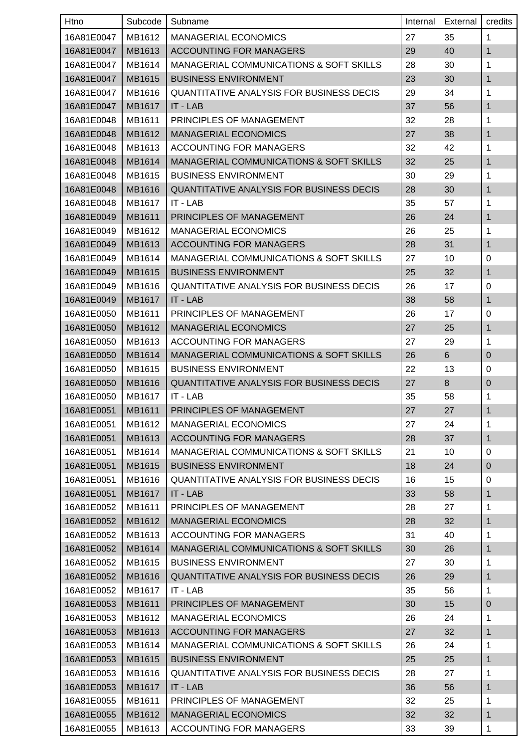| Htno       | Subcode | Subname                                            | Internal | External | credits      |
|------------|---------|----------------------------------------------------|----------|----------|--------------|
| 16A81E0047 | MB1612  | <b>MANAGERIAL ECONOMICS</b>                        | 27       | 35       | 1            |
| 16A81E0047 | MB1613  | <b>ACCOUNTING FOR MANAGERS</b>                     | 29       | 40       | 1            |
| 16A81E0047 | MB1614  | MANAGERIAL COMMUNICATIONS & SOFT SKILLS            | 28       | 30       | 1            |
| 16A81E0047 | MB1615  | <b>BUSINESS ENVIRONMENT</b>                        | 23       | 30       | 1            |
| 16A81E0047 | MB1616  | <b>QUANTITATIVE ANALYSIS FOR BUSINESS DECIS</b>    | 29       | 34       | 1            |
| 16A81E0047 | MB1617  | IT - LAB                                           | 37       | 56       | 1            |
| 16A81E0048 | MB1611  | PRINCIPLES OF MANAGEMENT                           | 32       | 28       | 1            |
| 16A81E0048 | MB1612  | <b>MANAGERIAL ECONOMICS</b>                        | 27       | 38       | 1            |
| 16A81E0048 | MB1613  | ACCOUNTING FOR MANAGERS                            | 32       | 42       | 1            |
| 16A81E0048 | MB1614  | MANAGERIAL COMMUNICATIONS & SOFT SKILLS            | 32       | 25       | 1            |
| 16A81E0048 | MB1615  | <b>BUSINESS ENVIRONMENT</b>                        | 30       | 29       | 1            |
| 16A81E0048 | MB1616  | QUANTITATIVE ANALYSIS FOR BUSINESS DECIS           | 28       | 30       | 1            |
| 16A81E0048 | MB1617  | IT - LAB                                           | 35       | 57       | 1            |
| 16A81E0049 | MB1611  | PRINCIPLES OF MANAGEMENT                           | 26       | 24       | 1            |
| 16A81E0049 | MB1612  | <b>MANAGERIAL ECONOMICS</b>                        | 26       | 25       | 1            |
| 16A81E0049 | MB1613  | <b>ACCOUNTING FOR MANAGERS</b>                     | 28       | 31       | 1            |
| 16A81E0049 | MB1614  | MANAGERIAL COMMUNICATIONS & SOFT SKILLS            | 27       | 10       | $\pmb{0}$    |
| 16A81E0049 | MB1615  | <b>BUSINESS ENVIRONMENT</b>                        | 25       | 32       | 1            |
| 16A81E0049 | MB1616  | <b>QUANTITATIVE ANALYSIS FOR BUSINESS DECIS</b>    | 26       | 17       | 0            |
| 16A81E0049 | MB1617  | IT - LAB                                           | 38       | 58       | 1            |
| 16A81E0050 | MB1611  | PRINCIPLES OF MANAGEMENT                           | 26       | 17       | 0            |
| 16A81E0050 | MB1612  | <b>MANAGERIAL ECONOMICS</b>                        | 27       | 25       | 1            |
| 16A81E0050 | MB1613  | ACCOUNTING FOR MANAGERS                            | 27       | 29       | 1            |
| 16A81E0050 | MB1614  | <b>MANAGERIAL COMMUNICATIONS &amp; SOFT SKILLS</b> | 26       | 6        | $\mathbf 0$  |
| 16A81E0050 | MB1615  | <b>BUSINESS ENVIRONMENT</b>                        | 22       | 13       | 0            |
| 16A81E0050 | MB1616  | <b>QUANTITATIVE ANALYSIS FOR BUSINESS DECIS</b>    | 27       | 8        | $\mathbf 0$  |
| 16A81E0050 | MB1617  | IT - LAB                                           | 35       | 58       | 1            |
| 16A81E0051 | MB1611  | PRINCIPLES OF MANAGEMENT                           | 27       | 27       | 1            |
| 16A81E0051 | MB1612  | <b>MANAGERIAL ECONOMICS</b>                        | 27       | 24       | $\mathbf{1}$ |
| 16A81E0051 | MB1613  | <b>ACCOUNTING FOR MANAGERS</b>                     | 28       | 37       | $\mathbf{1}$ |
| 16A81E0051 | MB1614  | MANAGERIAL COMMUNICATIONS & SOFT SKILLS            | 21       | 10       | $\mathbf 0$  |
| 16A81E0051 | MB1615  | <b>BUSINESS ENVIRONMENT</b>                        | 18       | 24       | $\pmb{0}$    |
| 16A81E0051 | MB1616  | <b>QUANTITATIVE ANALYSIS FOR BUSINESS DECIS</b>    | 16       | 15       | 0            |
| 16A81E0051 | MB1617  | IT - LAB                                           | 33       | 58       | 1            |
| 16A81E0052 | MB1611  | PRINCIPLES OF MANAGEMENT                           | 28       | 27       | 1            |
| 16A81E0052 | MB1612  | <b>MANAGERIAL ECONOMICS</b>                        | 28       | 32       | 1            |
| 16A81E0052 | MB1613  | <b>ACCOUNTING FOR MANAGERS</b>                     | 31       | 40       | 1            |
| 16A81E0052 | MB1614  | <b>MANAGERIAL COMMUNICATIONS &amp; SOFT SKILLS</b> | 30       | 26       | 1            |
| 16A81E0052 | MB1615  | <b>BUSINESS ENVIRONMENT</b>                        | 27       | 30       | 1            |
| 16A81E0052 | MB1616  | <b>QUANTITATIVE ANALYSIS FOR BUSINESS DECIS</b>    | 26       | 29       | 1            |
| 16A81E0052 | MB1617  | IT - LAB                                           | 35       | 56       | 1            |
| 16A81E0053 | MB1611  | PRINCIPLES OF MANAGEMENT                           | 30       | 15       | $\pmb{0}$    |
| 16A81E0053 | MB1612  | <b>MANAGERIAL ECONOMICS</b>                        | 26       | 24       | 1            |
| 16A81E0053 | MB1613  | <b>ACCOUNTING FOR MANAGERS</b>                     | 27       | 32       | 1            |
| 16A81E0053 | MB1614  | MANAGERIAL COMMUNICATIONS & SOFT SKILLS            | 26       | 24       | 1            |
| 16A81E0053 | MB1615  | <b>BUSINESS ENVIRONMENT</b>                        | 25       | 25       | 1            |
| 16A81E0053 | MB1616  | <b>QUANTITATIVE ANALYSIS FOR BUSINESS DECIS</b>    | 28       | 27       | 1            |
| 16A81E0053 | MB1617  | IT - LAB                                           | 36       | 56       | 1            |
| 16A81E0055 | MB1611  | PRINCIPLES OF MANAGEMENT                           | 32       | 25       | $\mathbf 1$  |
| 16A81E0055 | MB1612  | <b>MANAGERIAL ECONOMICS</b>                        | 32       | 32       | 1            |
| 16A81E0055 | MB1613  | ACCOUNTING FOR MANAGERS                            | 33       | 39       | 1            |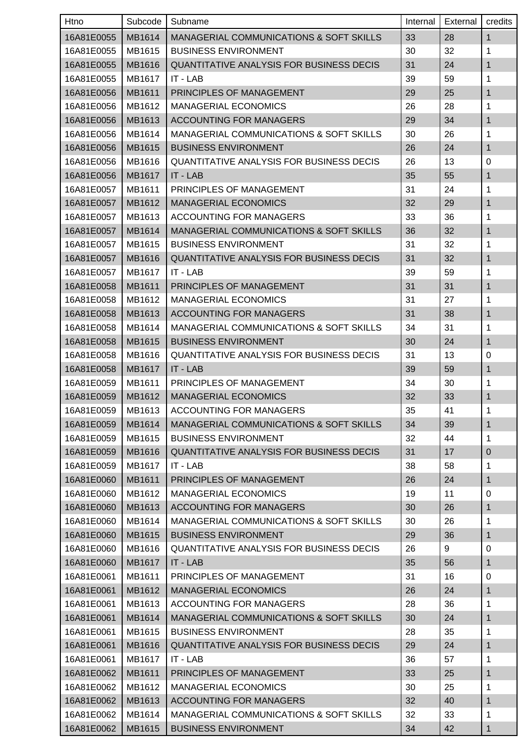| Htno       | Subcode | Subname                                            | Internal | External | credits      |
|------------|---------|----------------------------------------------------|----------|----------|--------------|
| 16A81E0055 | MB1614  | <b>MANAGERIAL COMMUNICATIONS &amp; SOFT SKILLS</b> | 33       | 28       | $\mathbf{1}$ |
| 16A81E0055 | MB1615  | <b>BUSINESS ENVIRONMENT</b>                        | 30       | 32       | 1            |
| 16A81E0055 | MB1616  | <b>QUANTITATIVE ANALYSIS FOR BUSINESS DECIS</b>    | 31       | 24       | 1            |
| 16A81E0055 | MB1617  | IT - LAB                                           | 39       | 59       | 1            |
| 16A81E0056 | MB1611  | PRINCIPLES OF MANAGEMENT                           | 29       | 25       | 1            |
| 16A81E0056 | MB1612  | <b>MANAGERIAL ECONOMICS</b>                        | 26       | 28       | 1            |
| 16A81E0056 | MB1613  | <b>ACCOUNTING FOR MANAGERS</b>                     | 29       | 34       | 1            |
| 16A81E0056 | MB1614  | MANAGERIAL COMMUNICATIONS & SOFT SKILLS            | 30       | 26       | 1            |
| 16A81E0056 | MB1615  | <b>BUSINESS ENVIRONMENT</b>                        | 26       | 24       | 1            |
| 16A81E0056 | MB1616  | <b>QUANTITATIVE ANALYSIS FOR BUSINESS DECIS</b>    | 26       | 13       | $\pmb{0}$    |
| 16A81E0056 | MB1617  | IT - LAB                                           | 35       | 55       | 1            |
| 16A81E0057 | MB1611  | PRINCIPLES OF MANAGEMENT                           | 31       | 24       | 1            |
| 16A81E0057 | MB1612  | <b>MANAGERIAL ECONOMICS</b>                        | 32       | 29       | $\mathbf{1}$ |
| 16A81E0057 | MB1613  | <b>ACCOUNTING FOR MANAGERS</b>                     | 33       | 36       | 1            |
| 16A81E0057 | MB1614  | <b>MANAGERIAL COMMUNICATIONS &amp; SOFT SKILLS</b> | 36       | 32       | 1            |
| 16A81E0057 | MB1615  | <b>BUSINESS ENVIRONMENT</b>                        | 31       | 32       | 1            |
| 16A81E0057 | MB1616  | <b>QUANTITATIVE ANALYSIS FOR BUSINESS DECIS</b>    | 31       | 32       | 1            |
| 16A81E0057 | MB1617  | IT - LAB                                           | 39       | 59       | 1            |
| 16A81E0058 | MB1611  | PRINCIPLES OF MANAGEMENT                           | 31       | 31       | 1            |
| 16A81E0058 | MB1612  | <b>MANAGERIAL ECONOMICS</b>                        | 31       | 27       | 1            |
| 16A81E0058 | MB1613  | <b>ACCOUNTING FOR MANAGERS</b>                     | 31       | 38       | 1            |
| 16A81E0058 | MB1614  | MANAGERIAL COMMUNICATIONS & SOFT SKILLS            | 34       | 31       | 1            |
| 16A81E0058 | MB1615  | <b>BUSINESS ENVIRONMENT</b>                        | 30       | 24       | 1            |
| 16A81E0058 | MB1616  | <b>QUANTITATIVE ANALYSIS FOR BUSINESS DECIS</b>    | 31       | 13       | 0            |
| 16A81E0058 | MB1617  | IT - LAB                                           | 39       | 59       | 1            |
| 16A81E0059 | MB1611  | PRINCIPLES OF MANAGEMENT                           | 34       | 30       | 1            |
| 16A81E0059 | MB1612  | <b>MANAGERIAL ECONOMICS</b>                        | 32       | 33       | 1            |
| 16A81E0059 | MB1613  | <b>ACCOUNTING FOR MANAGERS</b>                     | 35       | 41       | 1            |
| 16A81E0059 | MB1614  | <b>MANAGERIAL COMMUNICATIONS &amp; SOFT SKILLS</b> | 34       | 39       | $\mathbf{1}$ |
| 16A81E0059 | MB1615  | <b>BUSINESS ENVIRONMENT</b>                        | 32       | 44       | 1            |
| 16A81E0059 | MB1616  | QUANTITATIVE ANALYSIS FOR BUSINESS DECIS           | 31       | 17       | $\pmb{0}$    |
| 16A81E0059 | MB1617  | IT - LAB                                           | 38       | 58       | 1            |
| 16A81E0060 | MB1611  | PRINCIPLES OF MANAGEMENT                           | 26       | 24       | 1            |
| 16A81E0060 | MB1612  | <b>MANAGERIAL ECONOMICS</b>                        | 19       | 11       | 0            |
| 16A81E0060 | MB1613  | <b>ACCOUNTING FOR MANAGERS</b>                     | 30       | 26       | 1            |
| 16A81E0060 | MB1614  | <b>MANAGERIAL COMMUNICATIONS &amp; SOFT SKILLS</b> | 30       | 26       | 1            |
| 16A81E0060 | MB1615  | <b>BUSINESS ENVIRONMENT</b>                        | 29       | 36       | 1            |
| 16A81E0060 | MB1616  | <b>QUANTITATIVE ANALYSIS FOR BUSINESS DECIS</b>    | 26       | 9        | 0            |
| 16A81E0060 | MB1617  | IT - LAB                                           | 35       | 56       | 1            |
| 16A81E0061 | MB1611  | PRINCIPLES OF MANAGEMENT                           | 31       | 16       | $\mathbf 0$  |
| 16A81E0061 | MB1612  | <b>MANAGERIAL ECONOMICS</b>                        | 26       | 24       | 1            |
| 16A81E0061 | MB1613  | <b>ACCOUNTING FOR MANAGERS</b>                     | 28       | 36       | 1            |
| 16A81E0061 | MB1614  | MANAGERIAL COMMUNICATIONS & SOFT SKILLS            | 30       | 24       | 1            |
| 16A81E0061 | MB1615  | <b>BUSINESS ENVIRONMENT</b>                        | 28       | 35       | 1            |
| 16A81E0061 | MB1616  | QUANTITATIVE ANALYSIS FOR BUSINESS DECIS           | 29       | 24       | 1            |
| 16A81E0061 | MB1617  | IT - LAB                                           | 36       | 57       | 1            |
| 16A81E0062 | MB1611  | PRINCIPLES OF MANAGEMENT                           | 33       | 25       | 1            |
| 16A81E0062 | MB1612  | <b>MANAGERIAL ECONOMICS</b>                        | 30       | 25       | 1            |
| 16A81E0062 | MB1613  | <b>ACCOUNTING FOR MANAGERS</b>                     | 32       | 40       | $\mathbf{1}$ |
| 16A81E0062 | MB1614  | MANAGERIAL COMMUNICATIONS & SOFT SKILLS            | 32       | 33       | 1            |
| 16A81E0062 | MB1615  | <b>BUSINESS ENVIRONMENT</b>                        | 34       | 42       | 1            |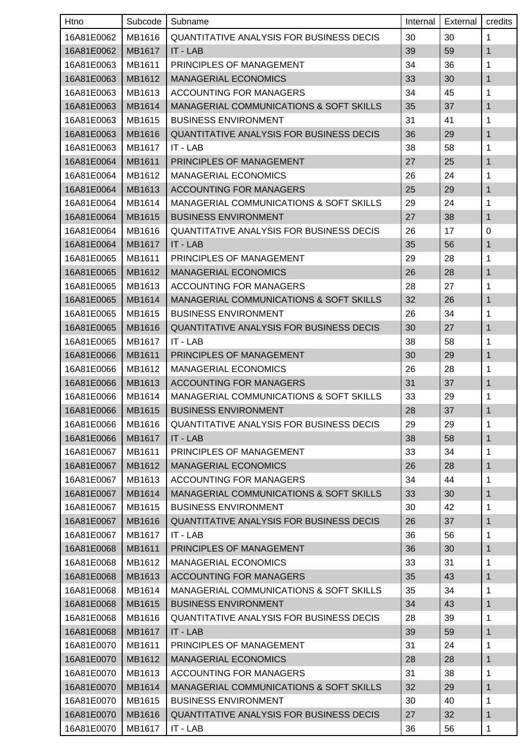| Htno       | Subcode | Subname                                            | Internal | External | credits      |
|------------|---------|----------------------------------------------------|----------|----------|--------------|
| 16A81E0062 | MB1616  | <b>QUANTITATIVE ANALYSIS FOR BUSINESS DECIS</b>    | 30       | 30       | 1            |
| 16A81E0062 | MB1617  | IT - LAB                                           | 39       | 59       | 1            |
| 16A81E0063 | MB1611  | PRINCIPLES OF MANAGEMENT                           | 34       | 36       | 1            |
| 16A81E0063 | MB1612  | <b>MANAGERIAL ECONOMICS</b>                        | 33       | 30       | 1            |
| 16A81E0063 | MB1613  | ACCOUNTING FOR MANAGERS                            | 34       | 45       | 1            |
| 16A81E0063 | MB1614  | <b>MANAGERIAL COMMUNICATIONS &amp; SOFT SKILLS</b> | 35       | 37       | 1            |
| 16A81E0063 | MB1615  | <b>BUSINESS ENVIRONMENT</b>                        | 31       | 41       | 1            |
| 16A81E0063 | MB1616  | <b>QUANTITATIVE ANALYSIS FOR BUSINESS DECIS</b>    | 36       | 29       | $\mathbf{1}$ |
| 16A81E0063 | MB1617  | IT - LAB                                           | 38       | 58       | 1            |
| 16A81E0064 | MB1611  | PRINCIPLES OF MANAGEMENT                           | 27       | 25       | 1            |
| 16A81E0064 | MB1612  | <b>MANAGERIAL ECONOMICS</b>                        | 26       | 24       | 1            |
| 16A81E0064 | MB1613  | <b>ACCOUNTING FOR MANAGERS</b>                     | 25       | 29       | 1            |
| 16A81E0064 | MB1614  | MANAGERIAL COMMUNICATIONS & SOFT SKILLS            | 29       | 24       | 1            |
| 16A81E0064 | MB1615  | <b>BUSINESS ENVIRONMENT</b>                        | 27       | 38       | 1            |
| 16A81E0064 | MB1616  | <b>QUANTITATIVE ANALYSIS FOR BUSINESS DECIS</b>    | 26       | 17       | 0            |
| 16A81E0064 | MB1617  | IT - LAB                                           | 35       | 56       | 1            |
| 16A81E0065 | MB1611  | PRINCIPLES OF MANAGEMENT                           | 29       | 28       | 1            |
| 16A81E0065 | MB1612  | <b>MANAGERIAL ECONOMICS</b>                        | 26       | 28       | 1            |
| 16A81E0065 | MB1613  | ACCOUNTING FOR MANAGERS                            | 28       | 27       | 1            |
| 16A81E0065 | MB1614  | <b>MANAGERIAL COMMUNICATIONS &amp; SOFT SKILLS</b> | 32       | 26       | 1            |
| 16A81E0065 | MB1615  | <b>BUSINESS ENVIRONMENT</b>                        | 26       | 34       | 1            |
| 16A81E0065 | MB1616  | <b>QUANTITATIVE ANALYSIS FOR BUSINESS DECIS</b>    | 30       | 27       | 1            |
| 16A81E0065 | MB1617  | IT - LAB                                           | 38       | 58       | 1            |
| 16A81E0066 | MB1611  | PRINCIPLES OF MANAGEMENT                           | 30       | 29       | 1            |
| 16A81E0066 | MB1612  | <b>MANAGERIAL ECONOMICS</b>                        | 26       | 28       | 1            |
| 16A81E0066 | MB1613  | <b>ACCOUNTING FOR MANAGERS</b>                     | 31       | 37       | 1            |
| 16A81E0066 | MB1614  | <b>MANAGERIAL COMMUNICATIONS &amp; SOFT SKILLS</b> | 33       | 29       | 1            |
| 16A81E0066 | MB1615  | <b>BUSINESS ENVIRONMENT</b>                        | 28       | 37       | 1            |
| 16A81E0066 | MB1616  | <b>QUANTITATIVE ANALYSIS FOR BUSINESS DECIS</b>    | 29       | 29       | 1            |
| 16A81E0066 | MB1617  | IT - LAB                                           | 38       | 58       | 1            |
| 16A81E0067 | MB1611  | PRINCIPLES OF MANAGEMENT                           | 33       | 34       | 1            |
| 16A81E0067 | MB1612  | <b>MANAGERIAL ECONOMICS</b>                        | 26       | 28       | 1            |
| 16A81E0067 | MB1613  | ACCOUNTING FOR MANAGERS                            | 34       | 44       | 1            |
| 16A81E0067 | MB1614  | <b>MANAGERIAL COMMUNICATIONS &amp; SOFT SKILLS</b> | 33       | 30       | 1            |
| 16A81E0067 | MB1615  | <b>BUSINESS ENVIRONMENT</b>                        | 30       | 42       | 1            |
| 16A81E0067 | MB1616  | QUANTITATIVE ANALYSIS FOR BUSINESS DECIS           | 26       | 37       | 1            |
| 16A81E0067 | MB1617  | IT - LAB                                           | 36       | 56       | 1            |
| 16A81E0068 | MB1611  | PRINCIPLES OF MANAGEMENT                           | 36       | 30       | 1            |
| 16A81E0068 | MB1612  | <b>MANAGERIAL ECONOMICS</b>                        | 33       | 31       | 1            |
| 16A81E0068 | MB1613  | <b>ACCOUNTING FOR MANAGERS</b>                     | 35       | 43       | 1            |
| 16A81E0068 | MB1614  | MANAGERIAL COMMUNICATIONS & SOFT SKILLS            | 35       | 34       | 1            |
| 16A81E0068 | MB1615  | <b>BUSINESS ENVIRONMENT</b>                        | 34       | 43       | 1            |
| 16A81E0068 | MB1616  | <b>QUANTITATIVE ANALYSIS FOR BUSINESS DECIS</b>    | 28       | 39       | 1            |
| 16A81E0068 | MB1617  | IT - LAB                                           | 39       | 59       | 1            |
| 16A81E0070 | MB1611  | PRINCIPLES OF MANAGEMENT                           | 31       | 24       | 1            |
| 16A81E0070 | MB1612  | <b>MANAGERIAL ECONOMICS</b>                        | 28       | 28       | 1            |
| 16A81E0070 | MB1613  | ACCOUNTING FOR MANAGERS                            | 31       | 38       | 1            |
| 16A81E0070 | MB1614  | <b>MANAGERIAL COMMUNICATIONS &amp; SOFT SKILLS</b> | 32       | 29       | 1            |
| 16A81E0070 | MB1615  | <b>BUSINESS ENVIRONMENT</b>                        | 30       | 40       | 1            |
| 16A81E0070 | MB1616  | QUANTITATIVE ANALYSIS FOR BUSINESS DECIS           | 27       | 32       | 1            |
| 16A81E0070 | MB1617  | IT - LAB                                           | 36       | 56       | 1            |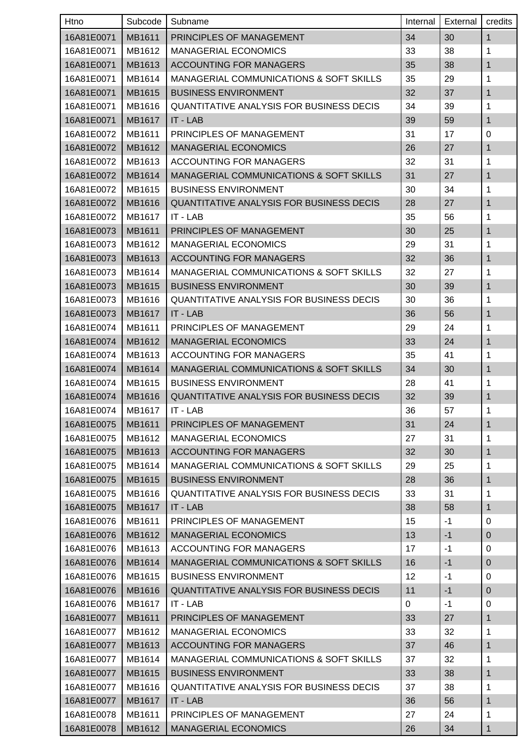| Htno       | Subcode       | Subname                                            | Internal          | External | credits      |
|------------|---------------|----------------------------------------------------|-------------------|----------|--------------|
| 16A81E0071 | MB1611        | PRINCIPLES OF MANAGEMENT                           | 34                | 30       | 1            |
| 16A81E0071 | MB1612        | <b>MANAGERIAL ECONOMICS</b>                        | 33                | 38       | 1            |
| 16A81E0071 | MB1613        | <b>ACCOUNTING FOR MANAGERS</b>                     | 35                | 38       | $\mathbf{1}$ |
| 16A81E0071 | MB1614        | <b>MANAGERIAL COMMUNICATIONS &amp; SOFT SKILLS</b> | 35                | 29       | 1            |
| 16A81E0071 | MB1615        | <b>BUSINESS ENVIRONMENT</b>                        | 32                | 37       | 1            |
| 16A81E0071 | MB1616        | QUANTITATIVE ANALYSIS FOR BUSINESS DECIS           | 34                | 39       | 1            |
| 16A81E0071 | MB1617        | IT - LAB                                           | 39                | 59       | 1            |
| 16A81E0072 | MB1611        | PRINCIPLES OF MANAGEMENT                           | 31                | 17       | 0            |
| 16A81E0072 | MB1612        | <b>MANAGERIAL ECONOMICS</b>                        | 26                | 27       | 1            |
| 16A81E0072 | MB1613        | ACCOUNTING FOR MANAGERS                            | 32                | 31       | 1            |
| 16A81E0072 | MB1614        | MANAGERIAL COMMUNICATIONS & SOFT SKILLS            | 31                | 27       | 1            |
| 16A81E0072 | MB1615        | <b>BUSINESS ENVIRONMENT</b>                        | 30                | 34       | 1            |
| 16A81E0072 | MB1616        | <b>QUANTITATIVE ANALYSIS FOR BUSINESS DECIS</b>    | 28                | 27       | 1            |
| 16A81E0072 | MB1617        | IT - LAB                                           | 35                | 56       | 1            |
| 16A81E0073 | MB1611        | PRINCIPLES OF MANAGEMENT                           | 30                | 25       | 1            |
| 16A81E0073 | MB1612        | <b>MANAGERIAL ECONOMICS</b>                        | 29                | 31       | 1            |
| 16A81E0073 | MB1613        | <b>ACCOUNTING FOR MANAGERS</b>                     | 32                | 36       | 1            |
| 16A81E0073 | MB1614        | <b>MANAGERIAL COMMUNICATIONS &amp; SOFT SKILLS</b> | 32                | 27       | 1            |
| 16A81E0073 | MB1615        | <b>BUSINESS ENVIRONMENT</b>                        | 30                | 39       | 1            |
| 16A81E0073 | MB1616        | QUANTITATIVE ANALYSIS FOR BUSINESS DECIS           | 30                | 36       | 1            |
| 16A81E0073 | MB1617        | IT - LAB                                           | 36                | 56       | 1            |
| 16A81E0074 | MB1611        | PRINCIPLES OF MANAGEMENT                           | 29                | 24       | 1            |
| 16A81E0074 | MB1612        | <b>MANAGERIAL ECONOMICS</b>                        | 33                | 24       | 1            |
| 16A81E0074 | MB1613        | ACCOUNTING FOR MANAGERS                            | 35                | 41       | 1            |
| 16A81E0074 | MB1614        | <b>MANAGERIAL COMMUNICATIONS &amp; SOFT SKILLS</b> | 34                | 30       | 1            |
| 16A81E0074 | MB1615        | <b>BUSINESS ENVIRONMENT</b>                        | 28                | 41       | 1            |
| 16A81E0074 | MB1616        | <b>QUANTITATIVE ANALYSIS FOR BUSINESS DECIS</b>    | 32                | 39       | 1            |
| 16A81E0074 | MB1617        | IT - LAB                                           | 36                | 57       | 1            |
| 16A81E0075 | MB1611        | PRINCIPLES OF MANAGEMENT                           | 31                | 24       | $\mathbf{1}$ |
| 16A81E0075 | MB1612        | <b>MANAGERIAL ECONOMICS</b>                        | 27                | 31       | 1            |
| 16A81E0075 | MB1613        | ACCOUNTING FOR MANAGERS                            | 32                | 30       | 1            |
| 16A81E0075 | MB1614        | MANAGERIAL COMMUNICATIONS & SOFT SKILLS            | 29                | 25       | 1            |
| 16A81E0075 | MB1615        | <b>BUSINESS ENVIRONMENT</b>                        | 28                | 36       | 1            |
| 16A81E0075 | MB1616        | <b>QUANTITATIVE ANALYSIS FOR BUSINESS DECIS</b>    | 33                | 31       | 1            |
| 16A81E0075 | MB1617        | IT - LAB                                           | 38                | 58       | 1            |
| 16A81E0076 | MB1611        | PRINCIPLES OF MANAGEMENT                           | 15                | -1       | 0            |
| 16A81E0076 | MB1612        | <b>MANAGERIAL ECONOMICS</b>                        | 13                | $-1$     | $\pmb{0}$    |
| 16A81E0076 | MB1613        | ACCOUNTING FOR MANAGERS                            | 17                | $-1$     | 0            |
| 16A81E0076 | MB1614        | MANAGERIAL COMMUNICATIONS & SOFT SKILLS            | 16                | $-1$     | $\pmb{0}$    |
| 16A81E0076 | MB1615        | <b>BUSINESS ENVIRONMENT</b>                        | $12 \overline{ }$ | -1       | $\pmb{0}$    |
| 16A81E0076 | MB1616        | QUANTITATIVE ANALYSIS FOR BUSINESS DECIS           | 11                | $-1$     | $\pmb{0}$    |
| 16A81E0076 | MB1617        | IT - LAB                                           | 0                 | $-1$     | $\pmb{0}$    |
| 16A81E0077 | MB1611        | PRINCIPLES OF MANAGEMENT                           | 33                | 27       | 1            |
| 16A81E0077 | MB1612        | <b>MANAGERIAL ECONOMICS</b>                        | 33                | 32       | 1            |
| 16A81E0077 | MB1613        | <b>ACCOUNTING FOR MANAGERS</b>                     | 37                | 46       | 1            |
| 16A81E0077 | MB1614        | MANAGERIAL COMMUNICATIONS & SOFT SKILLS            | 37                | 32       | 1            |
| 16A81E0077 | MB1615        | <b>BUSINESS ENVIRONMENT</b>                        | 33                | 38       | 1            |
| 16A81E0077 | MB1616        | <b>QUANTITATIVE ANALYSIS FOR BUSINESS DECIS</b>    | 37                | 38       | 1            |
| 16A81E0077 | <b>MB1617</b> | IT - LAB                                           | 36                | 56       | 1            |
| 16A81E0078 | MB1611        | PRINCIPLES OF MANAGEMENT                           | 27                | 24       | 1            |
| 16A81E0078 | MB1612        | <b>MANAGERIAL ECONOMICS</b>                        | 26                | 34       | 1            |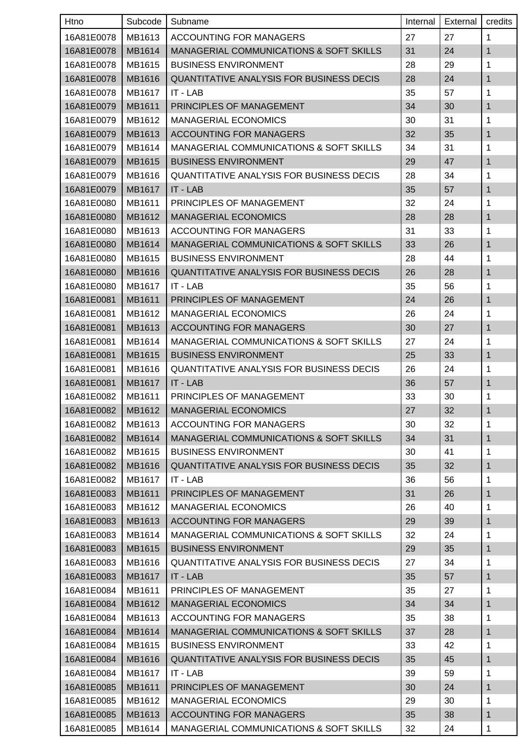| Htno       | Subcode | Subname                                            | Internal | External | credits      |
|------------|---------|----------------------------------------------------|----------|----------|--------------|
| 16A81E0078 | MB1613  | ACCOUNTING FOR MANAGERS                            | 27       | 27       | 1            |
| 16A81E0078 | MB1614  | <b>MANAGERIAL COMMUNICATIONS &amp; SOFT SKILLS</b> | 31       | 24       | 1            |
| 16A81E0078 | MB1615  | <b>BUSINESS ENVIRONMENT</b>                        | 28       | 29       | 1            |
| 16A81E0078 | MB1616  | <b>QUANTITATIVE ANALYSIS FOR BUSINESS DECIS</b>    | 28       | 24       | 1            |
| 16A81E0078 | MB1617  | IT - LAB                                           | 35       | 57       | 1            |
| 16A81E0079 | MB1611  | PRINCIPLES OF MANAGEMENT                           | 34       | 30       | 1            |
| 16A81E0079 | MB1612  | <b>MANAGERIAL ECONOMICS</b>                        | 30       | 31       | 1            |
| 16A81E0079 | MB1613  | <b>ACCOUNTING FOR MANAGERS</b>                     | 32       | 35       | $\mathbf{1}$ |
| 16A81E0079 | MB1614  | <b>MANAGERIAL COMMUNICATIONS &amp; SOFT SKILLS</b> | 34       | 31       | 1            |
| 16A81E0079 | MB1615  | <b>BUSINESS ENVIRONMENT</b>                        | 29       | 47       | 1            |
| 16A81E0079 | MB1616  | <b>QUANTITATIVE ANALYSIS FOR BUSINESS DECIS</b>    | 28       | 34       | 1            |
| 16A81E0079 | MB1617  | IT - LAB                                           | 35       | 57       | 1            |
| 16A81E0080 | MB1611  | PRINCIPLES OF MANAGEMENT                           | 32       | 24       | 1            |
| 16A81E0080 | MB1612  | <b>MANAGERIAL ECONOMICS</b>                        | 28       | 28       | 1            |
| 16A81E0080 | MB1613  | <b>ACCOUNTING FOR MANAGERS</b>                     | 31       | 33       | 1            |
| 16A81E0080 | MB1614  | <b>MANAGERIAL COMMUNICATIONS &amp; SOFT SKILLS</b> | 33       | 26       | 1            |
| 16A81E0080 | MB1615  | <b>BUSINESS ENVIRONMENT</b>                        | 28       | 44       | 1            |
| 16A81E0080 | MB1616  | <b>QUANTITATIVE ANALYSIS FOR BUSINESS DECIS</b>    | 26       | 28       | 1            |
| 16A81E0080 | MB1617  | IT - LAB                                           | 35       | 56       | 1            |
| 16A81E0081 | MB1611  | PRINCIPLES OF MANAGEMENT                           | 24       | 26       | 1            |
| 16A81E0081 | MB1612  | <b>MANAGERIAL ECONOMICS</b>                        | 26       | 24       | 1            |
| 16A81E0081 | MB1613  | <b>ACCOUNTING FOR MANAGERS</b>                     | 30       | 27       | 1            |
| 16A81E0081 | MB1614  | MANAGERIAL COMMUNICATIONS & SOFT SKILLS            | 27       | 24       | 1            |
| 16A81E0081 | MB1615  | <b>BUSINESS ENVIRONMENT</b>                        | 25       | 33       | 1            |
| 16A81E0081 | MB1616  | <b>QUANTITATIVE ANALYSIS FOR BUSINESS DECIS</b>    | 26       | 24       | 1            |
| 16A81E0081 | MB1617  | IT - LAB                                           | 36       | 57       | 1            |
| 16A81E0082 | MB1611  | PRINCIPLES OF MANAGEMENT                           | 33       | 30       | 1            |
| 16A81E0082 | MB1612  | <b>MANAGERIAL ECONOMICS</b>                        | 27       | 32       | 1            |
| 16A81E0082 | MB1613  | ACCOUNTING FOR MANAGERS                            | 30       | 32       | 1            |
| 16A81E0082 | MB1614  | MANAGERIAL COMMUNICATIONS & SOFT SKILLS            | 34       | 31       | $\mathbf{1}$ |
| 16A81E0082 | MB1615  | <b>BUSINESS ENVIRONMENT</b>                        | 30       | 41       | 1            |
| 16A81E0082 | MB1616  | <b>QUANTITATIVE ANALYSIS FOR BUSINESS DECIS</b>    | 35       | 32       | 1            |
| 16A81E0082 | MB1617  | IT - LAB                                           | 36       | 56       | 1            |
| 16A81E0083 | MB1611  | PRINCIPLES OF MANAGEMENT                           | 31       | 26       | 1            |
| 16A81E0083 | MB1612  | <b>MANAGERIAL ECONOMICS</b>                        | 26       | 40       | 1            |
| 16A81E0083 | MB1613  | <b>ACCOUNTING FOR MANAGERS</b>                     | 29       | 39       | $\mathbf{1}$ |
| 16A81E0083 | MB1614  | MANAGERIAL COMMUNICATIONS & SOFT SKILLS            | 32       | 24       | 1            |
| 16A81E0083 | MB1615  | <b>BUSINESS ENVIRONMENT</b>                        | 29       | 35       | 1            |
| 16A81E0083 | MB1616  | <b>QUANTITATIVE ANALYSIS FOR BUSINESS DECIS</b>    | 27       | 34       | $\mathbf{1}$ |
| 16A81E0083 | MB1617  | IT - LAB                                           | 35       | 57       | 1            |
| 16A81E0084 | MB1611  | PRINCIPLES OF MANAGEMENT                           | 35       | 27       | 1            |
| 16A81E0084 | MB1612  | <b>MANAGERIAL ECONOMICS</b>                        | 34       | 34       | 1            |
| 16A81E0084 | MB1613  | ACCOUNTING FOR MANAGERS                            | 35       | 38       | 1            |
| 16A81E0084 | MB1614  | <b>MANAGERIAL COMMUNICATIONS &amp; SOFT SKILLS</b> | 37       | 28       | 1            |
| 16A81E0084 | MB1615  | <b>BUSINESS ENVIRONMENT</b>                        | 33       | 42       | 1            |
| 16A81E0084 | MB1616  | QUANTITATIVE ANALYSIS FOR BUSINESS DECIS           | 35       | 45       | 1            |
| 16A81E0084 | MB1617  | IT - LAB                                           | 39       | 59       | 1            |
| 16A81E0085 | MB1611  | PRINCIPLES OF MANAGEMENT                           | 30       | 24       | 1            |
| 16A81E0085 | MB1612  | <b>MANAGERIAL ECONOMICS</b>                        | 29       | 30       | $\mathbf{1}$ |
| 16A81E0085 | MB1613  | <b>ACCOUNTING FOR MANAGERS</b>                     | 35       | 38       | 1            |
| 16A81E0085 | MB1614  | MANAGERIAL COMMUNICATIONS & SOFT SKILLS            | 32       | 24       | 1            |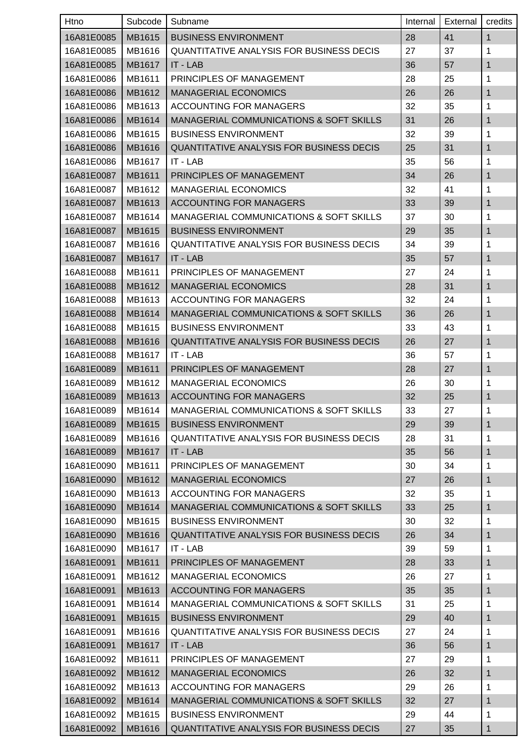| Htno       | Subcode | Subname                                            | Internal | External | credits      |
|------------|---------|----------------------------------------------------|----------|----------|--------------|
| 16A81E0085 | MB1615  | <b>BUSINESS ENVIRONMENT</b>                        | 28       | 41       | 1            |
| 16A81E0085 | MB1616  | <b>QUANTITATIVE ANALYSIS FOR BUSINESS DECIS</b>    | 27       | 37       | 1            |
| 16A81E0085 | MB1617  | IT - LAB                                           | 36       | 57       | $\mathbf{1}$ |
| 16A81E0086 | MB1611  | PRINCIPLES OF MANAGEMENT                           | 28       | 25       | 1            |
| 16A81E0086 | MB1612  | <b>MANAGERIAL ECONOMICS</b>                        | 26       | 26       | 1            |
| 16A81E0086 | MB1613  | ACCOUNTING FOR MANAGERS                            | 32       | 35       | 1            |
| 16A81E0086 | MB1614  | <b>MANAGERIAL COMMUNICATIONS &amp; SOFT SKILLS</b> | 31       | 26       | 1            |
| 16A81E0086 | MB1615  | <b>BUSINESS ENVIRONMENT</b>                        | 32       | 39       | 1            |
| 16A81E0086 | MB1616  | <b>QUANTITATIVE ANALYSIS FOR BUSINESS DECIS</b>    | 25       | 31       | 1            |
| 16A81E0086 | MB1617  | IT - LAB                                           | 35       | 56       | 1            |
| 16A81E0087 | MB1611  | PRINCIPLES OF MANAGEMENT                           | 34       | 26       | 1            |
| 16A81E0087 | MB1612  | <b>MANAGERIAL ECONOMICS</b>                        | 32       | 41       | 1            |
| 16A81E0087 | MB1613  | <b>ACCOUNTING FOR MANAGERS</b>                     | 33       | 39       | 1            |
| 16A81E0087 | MB1614  | <b>MANAGERIAL COMMUNICATIONS &amp; SOFT SKILLS</b> | 37       | 30       | 1            |
| 16A81E0087 | MB1615  | <b>BUSINESS ENVIRONMENT</b>                        | 29       | 35       | 1            |
| 16A81E0087 | MB1616  | <b>QUANTITATIVE ANALYSIS FOR BUSINESS DECIS</b>    | 34       | 39       | 1            |
| 16A81E0087 | MB1617  | IT - LAB                                           | 35       | 57       | 1            |
| 16A81E0088 | MB1611  | PRINCIPLES OF MANAGEMENT                           | 27       | 24       | 1            |
| 16A81E0088 | MB1612  | <b>MANAGERIAL ECONOMICS</b>                        | 28       | 31       | 1            |
| 16A81E0088 | MB1613  | <b>ACCOUNTING FOR MANAGERS</b>                     | 32       | 24       | 1            |
| 16A81E0088 | MB1614  | MANAGERIAL COMMUNICATIONS & SOFT SKILLS            | 36       | 26       | 1            |
| 16A81E0088 | MB1615  | <b>BUSINESS ENVIRONMENT</b>                        | 33       | 43       | 1            |
| 16A81E0088 | MB1616  | <b>QUANTITATIVE ANALYSIS FOR BUSINESS DECIS</b>    | 26       | 27       | 1            |
| 16A81E0088 | MB1617  | IT - LAB                                           | 36       | 57       | 1            |
| 16A81E0089 | MB1611  | PRINCIPLES OF MANAGEMENT                           | 28       | 27       | 1            |
| 16A81E0089 | MB1612  | <b>MANAGERIAL ECONOMICS</b>                        | 26       | 30       | 1            |
| 16A81E0089 | MB1613  | <b>ACCOUNTING FOR MANAGERS</b>                     | 32       | 25       | 1            |
| 16A81E0089 | MB1614  | MANAGERIAL COMMUNICATIONS & SOFT SKILLS            | 33       | 27       | 1            |
| 16A81E0089 | MB1615  | <b>BUSINESS ENVIRONMENT</b>                        | 29       | 39       | $\mathbf{1}$ |
| 16A81E0089 | MB1616  | <b>QUANTITATIVE ANALYSIS FOR BUSINESS DECIS</b>    | 28       | 31       | 1            |
| 16A81E0089 | MB1617  | IT - LAB                                           | 35       | 56       | 1            |
| 16A81E0090 | MB1611  | PRINCIPLES OF MANAGEMENT                           | 30       | 34       | 1            |
| 16A81E0090 | MB1612  | <b>MANAGERIAL ECONOMICS</b>                        | 27       | 26       | 1            |
| 16A81E0090 | MB1613  | ACCOUNTING FOR MANAGERS                            | 32       | 35       | 1            |
| 16A81E0090 | MB1614  | <b>MANAGERIAL COMMUNICATIONS &amp; SOFT SKILLS</b> | 33       | 25       | 1            |
| 16A81E0090 | MB1615  | <b>BUSINESS ENVIRONMENT</b>                        | 30       | 32       | 1            |
| 16A81E0090 | MB1616  | QUANTITATIVE ANALYSIS FOR BUSINESS DECIS           | 26       | 34       | 1            |
| 16A81E0090 | MB1617  | IT - LAB                                           | 39       | 59       | 1            |
| 16A81E0091 | MB1611  | PRINCIPLES OF MANAGEMENT                           | 28       | 33       | 1            |
| 16A81E0091 | MB1612  | <b>MANAGERIAL ECONOMICS</b>                        | 26       | 27       | 1            |
| 16A81E0091 | MB1613  | <b>ACCOUNTING FOR MANAGERS</b>                     | 35       | 35       | 1            |
| 16A81E0091 | MB1614  | MANAGERIAL COMMUNICATIONS & SOFT SKILLS            | 31       | 25       | 1            |
| 16A81E0091 | MB1615  | <b>BUSINESS ENVIRONMENT</b>                        | 29       | 40       | 1            |
| 16A81E0091 | MB1616  | QUANTITATIVE ANALYSIS FOR BUSINESS DECIS           | 27       | 24       | 1            |
| 16A81E0091 | MB1617  | IT - LAB                                           | 36       | 56       | 1            |
| 16A81E0092 | MB1611  | PRINCIPLES OF MANAGEMENT                           | 27       | 29       | 1            |
| 16A81E0092 | MB1612  | <b>MANAGERIAL ECONOMICS</b>                        | 26       | 32       | 1            |
| 16A81E0092 | MB1613  | ACCOUNTING FOR MANAGERS                            | 29       | 26       | 1            |
| 16A81E0092 | MB1614  | MANAGERIAL COMMUNICATIONS & SOFT SKILLS            | 32       | 27       | 1            |
| 16A81E0092 | MB1615  | <b>BUSINESS ENVIRONMENT</b>                        | 29       | 44       | 1            |
| 16A81E0092 | MB1616  | QUANTITATIVE ANALYSIS FOR BUSINESS DECIS           | 27       | 35       | 1            |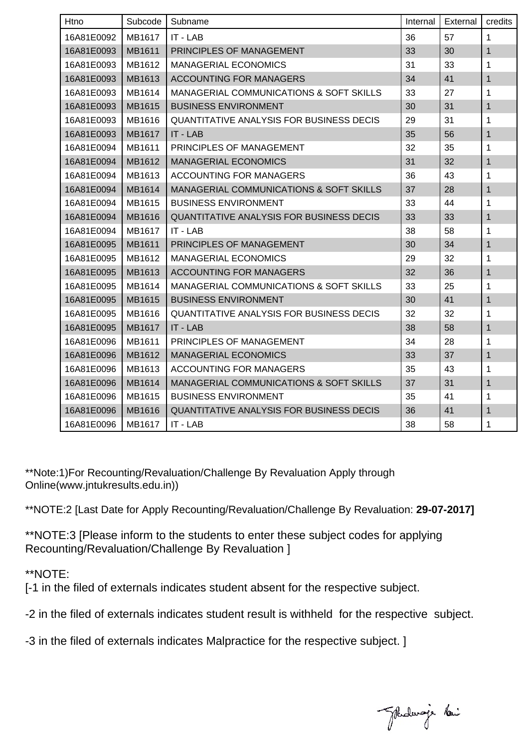| Htno       | Subcode | Subname                                            | Internal | External | credits      |
|------------|---------|----------------------------------------------------|----------|----------|--------------|
| 16A81E0092 | MB1617  | IT - LAB                                           | 36       | 57       | $\mathbf 1$  |
| 16A81E0093 | MB1611  | PRINCIPLES OF MANAGEMENT                           | 33       | 30       | $\mathbf 1$  |
| 16A81E0093 | MB1612  | <b>MANAGERIAL ECONOMICS</b>                        | 31       | 33       | 1            |
| 16A81E0093 | MB1613  | <b>ACCOUNTING FOR MANAGERS</b>                     | 34       | 41       | 1            |
| 16A81E0093 | MB1614  | MANAGERIAL COMMUNICATIONS & SOFT SKILLS            | 33       | 27       | 1            |
| 16A81E0093 | MB1615  | <b>BUSINESS ENVIRONMENT</b>                        | 30       | 31       | 1            |
| 16A81E0093 | MB1616  | QUANTITATIVE ANALYSIS FOR BUSINESS DECIS           | 29       | 31       | 1            |
| 16A81E0093 | MB1617  | <b>IT - LAB</b>                                    | 35       | 56       | 1            |
| 16A81E0094 | MB1611  | PRINCIPLES OF MANAGEMENT                           | 32       | 35       | 1            |
| 16A81E0094 | MB1612  | <b>MANAGERIAL ECONOMICS</b>                        | 31       | 32       | $\mathbf{1}$ |
| 16A81E0094 | MB1613  | <b>ACCOUNTING FOR MANAGERS</b>                     | 36       | 43       | 1            |
| 16A81E0094 | MB1614  | <b>MANAGERIAL COMMUNICATIONS &amp; SOFT SKILLS</b> | 37       | 28       | $\mathbf{1}$ |
| 16A81E0094 | MB1615  | <b>BUSINESS ENVIRONMENT</b>                        | 33       | 44       | 1            |
| 16A81E0094 | MB1616  | <b>QUANTITATIVE ANALYSIS FOR BUSINESS DECIS</b>    | 33       | 33       | 1            |
| 16A81E0094 | MB1617  | IT - LAB                                           | 38       | 58       | 1            |
| 16A81E0095 | MB1611  | PRINCIPLES OF MANAGEMENT                           | 30       | 34       | 1            |
| 16A81E0095 | MB1612  | <b>MANAGERIAL ECONOMICS</b>                        | 29       | 32       | $\mathbf 1$  |
| 16A81E0095 | MB1613  | <b>ACCOUNTING FOR MANAGERS</b>                     | 32       | 36       | 1            |
| 16A81E0095 | MB1614  | <b>MANAGERIAL COMMUNICATIONS &amp; SOFT SKILLS</b> | 33       | 25       | 1            |
| 16A81E0095 | MB1615  | <b>BUSINESS ENVIRONMENT</b>                        | 30       | 41       | 1            |
| 16A81E0095 | MB1616  | <b>QUANTITATIVE ANALYSIS FOR BUSINESS DECIS</b>    | 32       | 32       | 1            |
| 16A81E0095 | MB1617  | <b>IT - LAB</b>                                    | 38       | 58       | $\mathbf{1}$ |
| 16A81E0096 | MB1611  | PRINCIPLES OF MANAGEMENT                           | 34       | 28       | $\mathbf 1$  |
| 16A81E0096 | MB1612  | <b>MANAGERIAL ECONOMICS</b>                        | 33       | 37       | 1            |
| 16A81E0096 | MB1613  | <b>ACCOUNTING FOR MANAGERS</b>                     | 35       | 43       | 1            |
| 16A81E0096 | MB1614  | MANAGERIAL COMMUNICATIONS & SOFT SKILLS            | 37       | 31       | $\mathbf{1}$ |
| 16A81E0096 | MB1615  | <b>BUSINESS ENVIRONMENT</b>                        | 35       | 41       | 1            |
| 16A81E0096 | MB1616  | <b>QUANTITATIVE ANALYSIS FOR BUSINESS DECIS</b>    | 36       | 41       | 1            |
| 16A81E0096 | MB1617  | IT - LAB                                           | 38       | 58       | 1            |

\*\*Note:1)For Recounting/Revaluation/Challenge By Revaluation Apply through Online(www.jntukresults.edu.in))

\*\*NOTE:2 [Last Date for Apply Recounting/Revaluation/Challenge By Revaluation: **29-07-2017]**

\*\*NOTE:3 [Please inform to the students to enter these subject codes for applying Recounting/Revaluation/Challenge By Revaluation ]

\*\*NOTE:

[-1 in the filed of externals indicates student absent for the respective subject.

-2 in the filed of externals indicates student result is withheld for the respective subject.

-3 in the filed of externals indicates Malpractice for the respective subject. ]

Johalevaja New